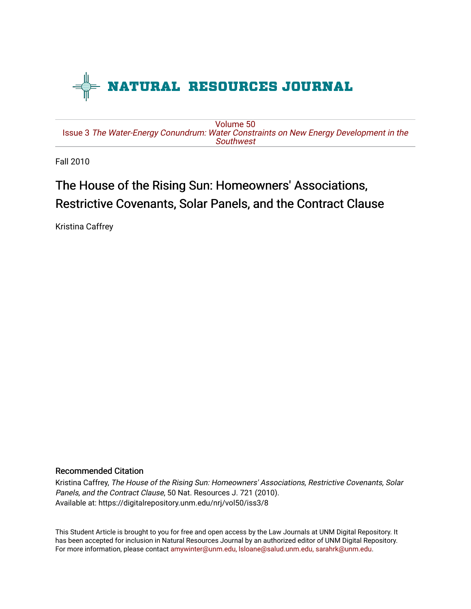

[Volume 50](https://digitalrepository.unm.edu/nrj/vol50) Issue 3 [The Water-Energy Conundrum: Water Constraints on New Energy Development in the](https://digitalrepository.unm.edu/nrj/vol50/iss3)  **Southwest** 

Fall 2010

# The House of the Rising Sun: Homeowners' Associations, Restrictive Covenants, Solar Panels, and the Contract Clause

Kristina Caffrey

## Recommended Citation

Kristina Caffrey, The House of the Rising Sun: Homeowners' Associations, Restrictive Covenants, Solar Panels, and the Contract Clause, 50 Nat. Resources J. 721 (2010). Available at: https://digitalrepository.unm.edu/nrj/vol50/iss3/8

This Student Article is brought to you for free and open access by the Law Journals at UNM Digital Repository. It has been accepted for inclusion in Natural Resources Journal by an authorized editor of UNM Digital Repository. For more information, please contact [amywinter@unm.edu, lsloane@salud.unm.edu, sarahrk@unm.edu](mailto:amywinter@unm.edu,%20lsloane@salud.unm.edu,%20sarahrk@unm.edu).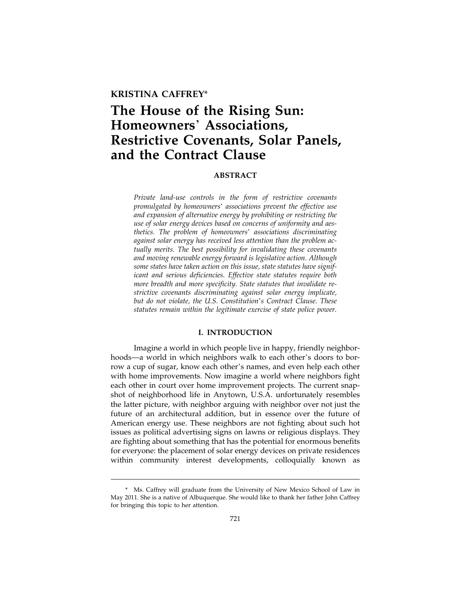### **KRISTINA CAFFREY**\*

## **The House of the Rising Sun: Homeowners**' **Associations, Restrictive Covenants, Solar Panels, and the Contract Clause**

#### **ABSTRACT**

*Private land-use controls in the form of restrictive covenants promulgated by homeowners*' *associations prevent the effective use and expansion of alternative energy by prohibiting or restricting the use of solar energy devices based on concerns of uniformity and aesthetics. The problem of homeowners*' *associations discriminating against solar energy has received less attention than the problem actually merits. The best possibility for invalidating these covenants and moving renewable energy forward is legislative action. Although some states have taken action on this issue, state statutes have significant and serious deficiencies. Effective state statutes require both more breadth and more specificity. State statutes that invalidate restrictive covenants discriminating against solar energy implicate, but do not violate, the U.S. Constitution*'*s Contract Clause. These statutes remain within the legitimate exercise of state police power.*

#### **I. INTRODUCTION**

Imagine a world in which people live in happy, friendly neighborhoods—a world in which neighbors walk to each other's doors to borrow a cup of sugar, know each other's names, and even help each other with home improvements. Now imagine a world where neighbors fight each other in court over home improvement projects. The current snapshot of neighborhood life in Anytown, U.S.A. unfortunately resembles the latter picture, with neighbor arguing with neighbor over not just the future of an architectural addition, but in essence over the future of American energy use. These neighbors are not fighting about such hot issues as political advertising signs on lawns or religious displays. They are fighting about something that has the potential for enormous benefits for everyone: the placement of solar energy devices on private residences within community interest developments, colloquially known as

<sup>\*</sup> Ms. Caffrey will graduate from the University of New Mexico School of Law in May 2011. She is a native of Albuquerque. She would like to thank her father John Caffrey for bringing this topic to her attention.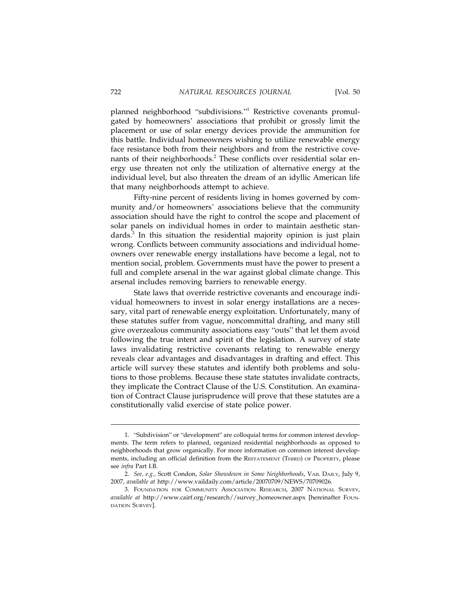planned neighborhood "subdivisions."<sup>1</sup> Restrictive covenants promulgated by homeowners' associations that prohibit or grossly limit the placement or use of solar energy devices provide the ammunition for this battle. Individual homeowners wishing to utilize renewable energy face resistance both from their neighbors and from the restrictive covenants of their neighborhoods.<sup>2</sup> These conflicts over residential solar energy use threaten not only the utilization of alternative energy at the individual level, but also threaten the dream of an idyllic American life that many neighborhoods attempt to achieve.

Fifty-nine percent of residents living in homes governed by community and/or homeowners' associations believe that the community association should have the right to control the scope and placement of solar panels on individual homes in order to maintain aesthetic standards.<sup>3</sup> In this situation the residential majority opinion is just plain wrong. Conflicts between community associations and individual homeowners over renewable energy installations have become a legal, not to mention social, problem. Governments must have the power to present a full and complete arsenal in the war against global climate change. This arsenal includes removing barriers to renewable energy.

State laws that override restrictive covenants and encourage individual homeowners to invest in solar energy installations are a necessary, vital part of renewable energy exploitation. Unfortunately, many of these statutes suffer from vague, noncommittal drafting, and many still give overzealous community associations easy "outs" that let them avoid following the true intent and spirit of the legislation. A survey of state laws invalidating restrictive covenants relating to renewable energy reveals clear advantages and disadvantages in drafting and effect. This article will survey these statutes and identify both problems and solutions to those problems. Because these state statutes invalidate contracts, they implicate the Contract Clause of the U.S. Constitution. An examination of Contract Clause jurisprudence will prove that these statutes are a constitutionally valid exercise of state police power.

<sup>1.</sup> "Subdivision" or "development" are colloquial terms for common interest developments. The term refers to planned, organized residential neighborhoods as opposed to neighborhoods that grow organically. For more information on common interest developments, including an official definition from the RESTATEMENT (THIRD) OF PROPERTY, please see *infra* Part I.B.

<sup>2.</sup> *See, e.g.,* Scott Condon, *Solar Showdown in Some Neighborhoods*, VAIL DAILY, July 9, 2007, *available at* http://www.vaildaily.com/article/20070709/NEWS/70709026.

<sup>3.</sup> FOUNDATION FOR COMMUNITY ASSOCIATION RESEARCH, 2007 NATIONAL SURVEY, *available at* http://www.cairf.org/research//survey\_homeowner.aspx [hereinafter FOUN-DATION SURVEY].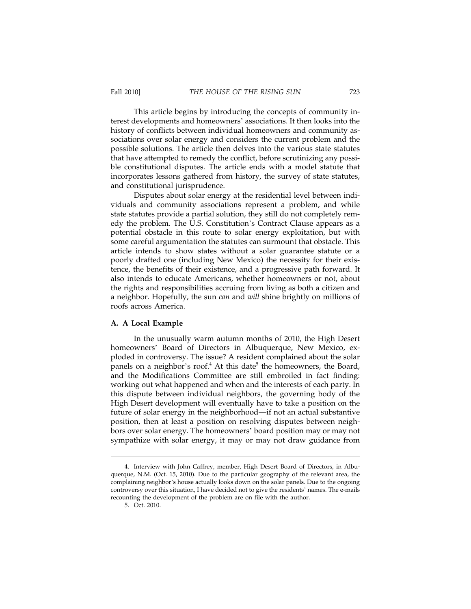This article begins by introducing the concepts of community interest developments and homeowners' associations. It then looks into the history of conflicts between individual homeowners and community associations over solar energy and considers the current problem and the possible solutions. The article then delves into the various state statutes that have attempted to remedy the conflict, before scrutinizing any possible constitutional disputes. The article ends with a model statute that incorporates lessons gathered from history, the survey of state statutes, and constitutional jurisprudence.

Disputes about solar energy at the residential level between individuals and community associations represent a problem, and while state statutes provide a partial solution, they still do not completely remedy the problem. The U.S. Constitution's Contract Clause appears as a potential obstacle in this route to solar energy exploitation, but with some careful argumentation the statutes can surmount that obstacle. This article intends to show states without a solar guarantee statute or a poorly drafted one (including New Mexico) the necessity for their existence, the benefits of their existence, and a progressive path forward. It also intends to educate Americans, whether homeowners or not, about the rights and responsibilities accruing from living as both a citizen and a neighbor. Hopefully, the sun *can* and *will* shine brightly on millions of roofs across America.

#### **A. A Local Example**

In the unusually warm autumn months of 2010, the High Desert homeowners' Board of Directors in Albuquerque, New Mexico, exploded in controversy. The issue? A resident complained about the solar panels on a neighbor's roof.<sup>4</sup> At this date<sup>5</sup> the homeowners, the Board, and the Modifications Committee are still embroiled in fact finding: working out what happened and when and the interests of each party. In this dispute between individual neighbors, the governing body of the High Desert development will eventually have to take a position on the future of solar energy in the neighborhood—if not an actual substantive position, then at least a position on resolving disputes between neighbors over solar energy. The homeowners' board position may or may not sympathize with solar energy, it may or may not draw guidance from

<sup>4.</sup> Interview with John Caffrey, member, High Desert Board of Directors, in Albuquerque, N.M. (Oct. 15, 2010). Due to the particular geography of the relevant area, the complaining neighbor's house actually looks down on the solar panels. Due to the ongoing controversy over this situation, I have decided not to give the residents' names. The e-mails recounting the development of the problem are on file with the author.

<sup>5.</sup> Oct. 2010.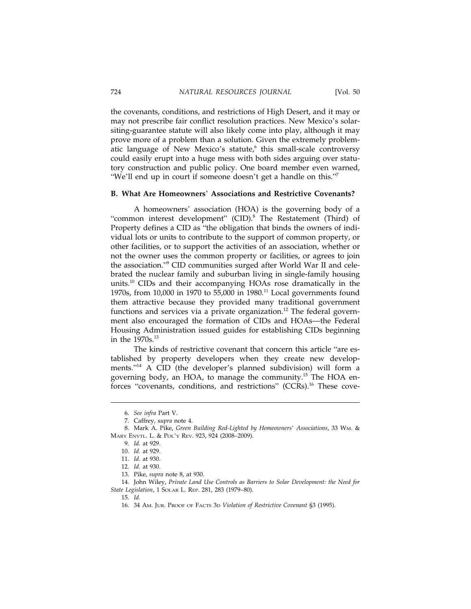the covenants, conditions, and restrictions of High Desert, and it may or may not prescribe fair conflict resolution practices. New Mexico's solarsiting-guarantee statute will also likely come into play, although it may prove more of a problem than a solution. Given the extremely problematic language of New Mexico's statute,<sup>6</sup> this small-scale controversy could easily erupt into a huge mess with both sides arguing over statutory construction and public policy. One board member even warned, "We'll end up in court if someone doesn't get a handle on this."<sup>7</sup>

#### **B. What Are Homeowners**' **Associations and Restrictive Covenants?**

A homeowners' association (HOA) is the governing body of a "common interest development" (CID).<sup>8</sup> The Restatement (Third) of Property defines a CID as "the obligation that binds the owners of individual lots or units to contribute to the support of common property, or other facilities, or to support the activities of an association, whether or not the owner uses the common property or facilities, or agrees to join the association."<sup>9</sup> CID communities surged after World War II and celebrated the nuclear family and suburban living in single-family housing units.10 CIDs and their accompanying HOAs rose dramatically in the 1970s, from 10,000 in 1970 to 55,000 in 1980.<sup>11</sup> Local governments found them attractive because they provided many traditional government functions and services via a private organization.<sup>12</sup> The federal government also encouraged the formation of CIDs and HOAs—the Federal Housing Administration issued guides for establishing CIDs beginning in the  $1970s.<sup>13</sup>$ 

The kinds of restrictive covenant that concern this article "are established by property developers when they create new developments."<sup>14</sup> A CID (the developer's planned subdivision) will form a governing body, an HOA, to manage the community.15 The HOA enforces "covenants, conditions, and restrictions" (CCRs).<sup>16</sup> These cove-

14. John Wiley, *Private Land Use Controls as Barriers to Solar Development: the Need for State Legislation*, 1 SOLAR L. REP. 281, 283 (1979–80).

<sup>6.</sup> *See infra* Part V.

<sup>7.</sup> Caffrey, s*upra* note 4.

<sup>8.</sup> Mark A. Pike, *Green Building Red-Lighted by Homeowners*' *Associations*, 33 WM. & MARY ENVTL. L. & POL'Y REV. 923, 924 (2008–2009).

<sup>9.</sup> *Id.* at 929.

<sup>10.</sup> *Id.* at 929.

<sup>11.</sup> *Id.* at 930.

<sup>12.</sup> *Id.* at 930.

<sup>13.</sup> Pike, *supra* note 8, at 930.

<sup>15.</sup> *Id.*

<sup>16. 34</sup> AM. JUR. PROOF OF FACTS 3D *Violation of Restrictive Covenant* §3 (1995).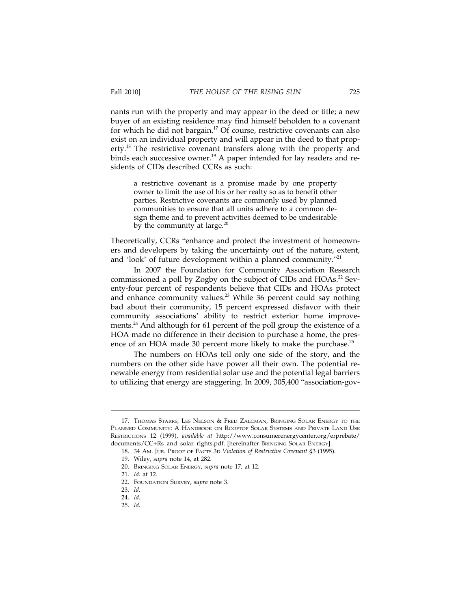nants run with the property and may appear in the deed or title; a new buyer of an existing residence may find himself beholden to a covenant for which he did not bargain.<sup>17</sup> Of course, restrictive covenants can also exist on an individual property and will appear in the deed to that property.<sup>18</sup> The restrictive covenant transfers along with the property and binds each successive owner.<sup>19</sup> A paper intended for lay readers and residents of CIDs described CCRs as such:

a restrictive covenant is a promise made by one property owner to limit the use of his or her realty so as to benefit other parties. Restrictive covenants are commonly used by planned communities to ensure that all units adhere to a common design theme and to prevent activities deemed to be undesirable by the community at large. $^{20}$ 

Theoretically, CCRs "enhance and protect the investment of homeowners and developers by taking the uncertainty out of the nature, extent, and 'look' of future development within a planned community."<sup>21</sup>

In 2007 the Foundation for Community Association Research commissioned a poll by Zogby on the subject of CIDs and HOAs.<sup>22</sup> Seventy-four percent of respondents believe that CIDs and HOAs protect and enhance community values.<sup>23</sup> While 36 percent could say nothing bad about their community, 15 percent expressed disfavor with their community associations' ability to restrict exterior home improvements.24 And although for 61 percent of the poll group the existence of a HOA made no difference in their decision to purchase a home, the presence of an HOA made 30 percent more likely to make the purchase.<sup>25</sup>

The numbers on HOAs tell only one side of the story, and the numbers on the other side have power all their own. The potential renewable energy from residential solar use and the potential legal barriers to utilizing that energy are staggering. In 2009, 305,400 "association-gov-

<sup>17.</sup> THOMAS STARRS, LES NELSON & FRED ZALCMAN, BRINGING SOLAR ENERGY TO THE PLANNED COMMUNITY: A HANDBOOK ON ROOFTOP SOLAR SYSTEMS AND PRIVATE LAND USE RESTRICTIONS 12 (1999), *available at* http://www.consumerenergycenter.org/erprebate/ documents/CC+Rs\_and\_solar\_rights.pdf. [hereinafter BRINGING SOLAR ENERGY].

<sup>18. 34</sup> AM. JUR. PROOF OF FACTS 3D *Violation of Restrictive Covenant* §3 (1995).

<sup>19.</sup> Wiley, *supra* note 14, at 282.

<sup>20.</sup> BRINGING SOLAR ENERGY, *supra* note 17, at 12.

<sup>21.</sup> *Id.* at 12.

<sup>22.</sup> FOUNDATION SURVEY, *supra* note 3.

<sup>23.</sup> *Id.*

<sup>24.</sup> *Id.*

<sup>25.</sup> *Id.*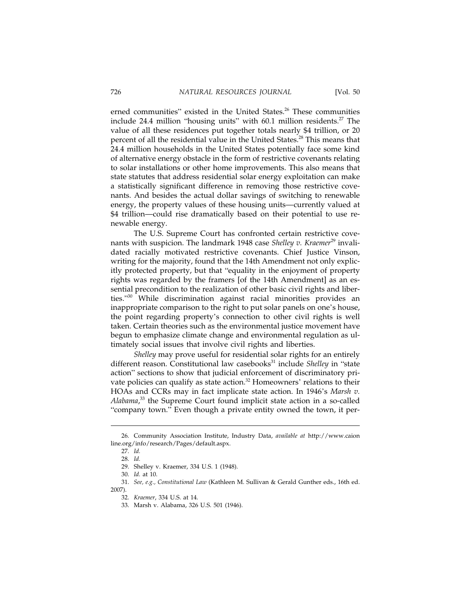erned communities" existed in the United States.<sup>26</sup> These communities include 24.4 million "housing units" with  $60.1$  million residents.<sup>27</sup> The value of all these residences put together totals nearly \$4 trillion, or 20 percent of all the residential value in the United States.<sup>28</sup> This means that 24.4 million households in the United States potentially face some kind of alternative energy obstacle in the form of restrictive covenants relating to solar installations or other home improvements. This also means that state statutes that address residential solar energy exploitation can make a statistically significant difference in removing those restrictive covenants. And besides the actual dollar savings of switching to renewable energy, the property values of these housing units—currently valued at \$4 trillion—could rise dramatically based on their potential to use renewable energy.

The U.S. Supreme Court has confronted certain restrictive covenants with suspicion. The landmark 1948 case *Shelley v. Kraemer*<sup>29</sup> invalidated racially motivated restrictive covenants. Chief Justice Vinson, writing for the majority, found that the 14th Amendment not only explicitly protected property, but that "equality in the enjoyment of property rights was regarded by the framers [of the 14th Amendment] as an essential precondition to the realization of other basic civil rights and liberties."30 While discrimination against racial minorities provides an inappropriate comparison to the right to put solar panels on one's house, the point regarding property's connection to other civil rights is well taken. Certain theories such as the environmental justice movement have begun to emphasize climate change and environmental regulation as ultimately social issues that involve civil rights and liberties.

*Shelley* may prove useful for residential solar rights for an entirely different reason. Constitutional law casebooks<sup>31</sup> include *Shelley* in "state action" sections to show that judicial enforcement of discriminatory private policies can qualify as state action.<sup>32</sup> Homeowners' relations to their HOAs and CCRs may in fact implicate state action. In 1946's *Marsh v. Alabama*, 33 the Supreme Court found implicit state action in a so-called "company town." Even though a private entity owned the town, it per-

31. *See, e.g., Constitutional Law* (Kathleen M. Sullivan & Gerald Gunther eds., 16th ed. 2007).

<sup>26.</sup> Community Association Institute, Industry Data, *available at* http://www.caion line.org/info/research/Pages/default.aspx.

<sup>27.</sup> *Id.*

<sup>28.</sup> *Id.*

<sup>29.</sup> Shelley v. Kraemer, 334 U.S. 1 (1948).

<sup>30.</sup> *Id.* at 10.

<sup>32.</sup> *Kraemer*, 334 U.S. at 14.

<sup>33.</sup> Marsh v. Alabama, 326 U.S. 501 (1946).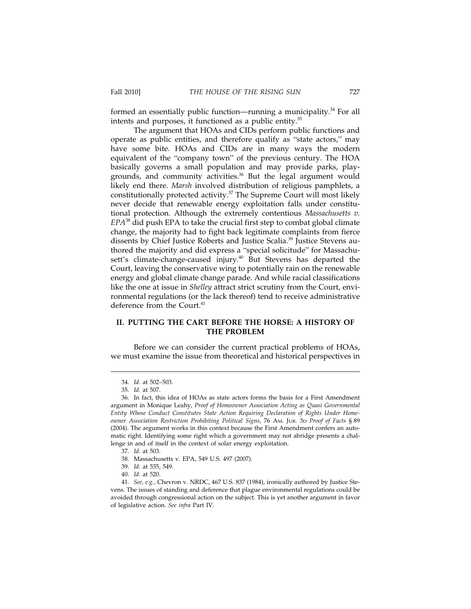formed an essentially public function—running a municipality.<sup>34</sup> For all intents and purposes, it functioned as a public entity.<sup>35</sup>

The argument that HOAs and CIDs perform public functions and operate as public entities, and therefore qualify as "state actors," may have some bite. HOAs and CIDs are in many ways the modern equivalent of the "company town" of the previous century. The HOA basically governs a small population and may provide parks, playgrounds, and community activities. $36$  But the legal argument would likely end there. *Marsh* involved distribution of religious pamphlets, a constitutionally protected activity.<sup>37</sup> The Supreme Court will most likely never decide that renewable energy exploitation falls under constitutional protection. Although the extremely contentious *Massachusetts v. EPA*38 did push EPA to take the crucial first step to combat global climate change, the majority had to fight back legitimate complaints from fierce dissents by Chief Justice Roberts and Justice Scalia.<sup>39</sup> Justice Stevens authored the majority and did express a "special solicitude" for Massachusett's climate-change-caused injury.<sup>40</sup> But Stevens has departed the Court, leaving the conservative wing to potentially rain on the renewable energy and global climate change parade. And while racial classifications like the one at issue in *Shelley* attract strict scrutiny from the Court, environmental regulations (or the lack thereof) tend to receive administrative deference from the Court.<sup>41</sup>

#### **II. PUTTING THE CART BEFORE THE HORSE: A HISTORY OF THE PROBLEM**

Before we can consider the current practical problems of HOAs, we must examine the issue from theoretical and historical perspectives in

<sup>34.</sup> *Id.* at 502–503.

<sup>35.</sup> *Id.* at 507.

<sup>36.</sup> In fact, this idea of HOAs as state actors forms the basis for a First Amendment argument in Monique Leahy, *Proof of Homeowner Association Acting as Quasi Governmental Entity Whose Conduct Constitutes State Action Requiring Declaration of Rights Under Homeowner Association Restriction Prohibiting Political Signs*, 76 AM. JUR. 3D *Proof of Facts* § 89 (2004). The argument works in this context because the First Amendment confers an automatic right. Identifying some right which a government may not abridge presents a challenge in and of itself in the context of solar energy exploitation.

<sup>37.</sup> *Id.* at 503.

<sup>38.</sup> Massachusetts v. EPA, 549 U.S. 497 (2007).

<sup>39.</sup> *Id.* at 535, 549.

<sup>40.</sup> *Id.* at 520.

<sup>41.</sup> *See, e.g.,* Chevron v. NRDC, 467 U.S. 837 (1984), ironically authored by Justice Stevens. The issues of standing and deference that plague environmental regulations could be avoided through congressional action on the subject. This is yet another argument in favor of legislative action. *See infra* Part IV.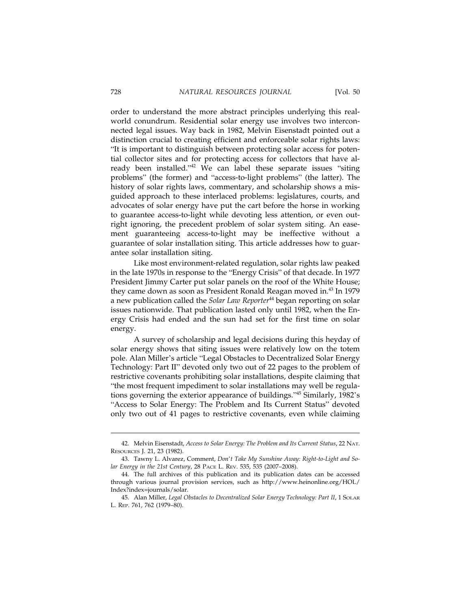order to understand the more abstract principles underlying this realworld conundrum. Residential solar energy use involves two interconnected legal issues. Way back in 1982, Melvin Eisenstadt pointed out a distinction crucial to creating efficient and enforceable solar rights laws: "It is important to distinguish between protecting solar access for potential collector sites and for protecting access for collectors that have already been installed."<sup>42</sup> We can label these separate issues "siting problems" (the former) and "access-to-light problems" (the latter). The history of solar rights laws, commentary, and scholarship shows a misguided approach to these interlaced problems: legislatures, courts, and advocates of solar energy have put the cart before the horse in working to guarantee access-to-light while devoting less attention, or even outright ignoring, the precedent problem of solar system siting. An easement guaranteeing access-to-light may be ineffective without a guarantee of solar installation siting. This article addresses how to guarantee solar installation siting.

Like most environment-related regulation, solar rights law peaked in the late 1970s in response to the "Energy Crisis" of that decade. In 1977 President Jimmy Carter put solar panels on the roof of the White House; they came down as soon as President Ronald Reagan moved in.<sup>43</sup> In 1979 a new publication called the *Solar Law Reporter*44 began reporting on solar issues nationwide. That publication lasted only until 1982, when the Energy Crisis had ended and the sun had set for the first time on solar energy.

A survey of scholarship and legal decisions during this heyday of solar energy shows that siting issues were relatively low on the totem pole. Alan Miller's article "Legal Obstacles to Decentralized Solar Energy Technology: Part II" devoted only two out of 22 pages to the problem of restrictive covenants prohibiting solar installations, despite claiming that "the most frequent impediment to solar installations may well be regulations governing the exterior appearance of buildings."45 Similarly, 1982's "Access to Solar Energy: The Problem and Its Current Status" devoted only two out of 41 pages to restrictive covenants, even while claiming

<sup>42.</sup> Melvin Eisenstadt, *Access to Solar Energy: The Problem and Its Current Status*, 22 NAT. RESOURCES J. 21, 23 (1982).

<sup>43.</sup> Tawny L. Alvarez, Comment, *Don*'*t Take My Sunshine Away: Right-to-Light and Solar Energy in the 21st Century*, 28 PACE L. REV. 535, 535 (2007–2008).

<sup>44.</sup> The full archives of this publication and its publication dates can be accessed through various journal provision services, such as http://www.heinonline.org/HOL/ Index?index=journals/solar.

<sup>45.</sup> Alan Miller, *Legal Obstacles to Decentralized Solar Energy Technology: Part II*, 1 SOLAR L. REP. 761, 762 (1979–80).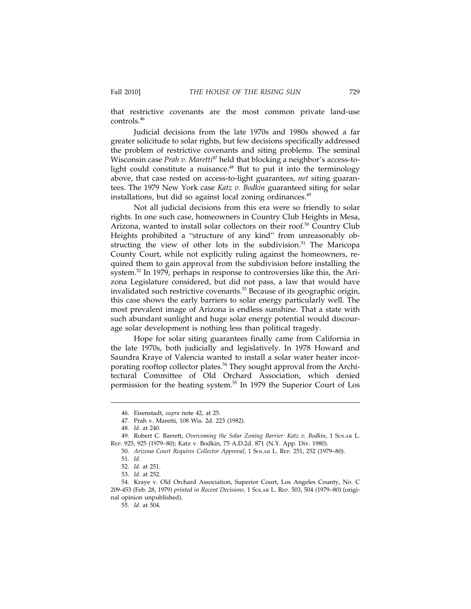that restrictive covenants are the most common private land-use controls.<sup>46</sup>

Judicial decisions from the late 1970s and 1980s showed a far greater solicitude to solar rights, but few decisions specifically addressed the problem of restrictive covenants and siting problems. The seminal Wisconsin case *Prah v. Maretti<sup>47</sup>* held that blocking a neighbor's access-tolight could constitute a nuisance.<sup>48</sup> But to put it into the terminology above, that case rested on access-to-light guarantees, *not* siting guarantees. The 1979 New York case *Katz v. Bodkin* guaranteed siting for solar installations, but did so against local zoning ordinances.<sup>49</sup>

Not all judicial decisions from this era were so friendly to solar rights. In one such case, homeowners in Country Club Heights in Mesa, Arizona, wanted to install solar collectors on their roof.<sup>50</sup> Country Club Heights prohibited a "structure of any kind" from unreasonably obstructing the view of other lots in the subdivision.<sup>51</sup> The Maricopa County Court, while not explicitly ruling against the homeowners, required them to gain approval from the subdivision before installing the system.<sup>52</sup> In 1979, perhaps in response to controversies like this, the Arizona Legislature considered, but did not pass, a law that would have invalidated such restrictive covenants.<sup>53</sup> Because of its geographic origin, this case shows the early barriers to solar energy particularly well. The most prevalent image of Arizona is endless sunshine. That a state with such abundant sunlight and huge solar energy potential would discourage solar development is nothing less than political tragedy.

Hope for solar siting guarantees finally came from California in the late 1970s, both judicially and legislatively. In 1978 Howard and Saundra Kraye of Valencia wanted to install a solar water heater incorporating rooftop collector plates.<sup>54</sup> They sought approval from the Architectural Committee of Old Orchard Association, which denied permission for the heating system.55 In 1979 the Superior Court of Los

<sup>46.</sup> Eisenstadt, *supra* note 42, at 25.

<sup>47.</sup> Prah v. Maretti, 108 Wis. 2d. 223 (1982).

<sup>48.</sup> *Id.* at 240.

<sup>49.</sup> Robert C. Barrett, *Overcoming the Solar Zoning Barrier: Katz v. Bodkin*, 1 SOLAR L. REP. 925, 925 (1979–80); Katz v. Bodkin, 75 A.D.2d. 871 (N.Y. App. Div. 1980).

<sup>50.</sup> *Arizona Court Requires Collector Approval*, 1 SOLAR L. REP. 251, 252 (1979–80).

<sup>51.</sup> *Id.*

<sup>52.</sup> *Id.* at 251.

<sup>53.</sup> *Id.* at 252.

<sup>54.</sup> Kraye v. Old Orchard Association, Superior Court, Los Angeles County, No. C 209-453 (Feb. 28, 1979) *printed in Recent Decisions,* 1 SOLAR L. REP. 503, 504 (1979–80) (original opinion unpublished).

<sup>55.</sup> *Id.* at 504.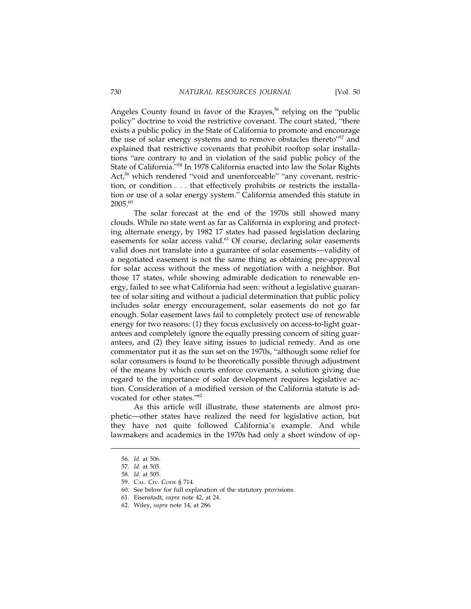Angeles County found in favor of the Krayes,<sup>56</sup> relying on the "public" policy" doctrine to void the restrictive covenant. The court stated, "there exists a public policy in the State of California to promote and encourage the use of solar energy systems and to remove obstacles thereto"<sup>57</sup> and explained that restrictive covenants that prohibit rooftop solar installations "are contrary to and in violation of the said public policy of the State of California."58 In 1978 California enacted into law the Solar Rights Act,<sup>59</sup> which rendered "void and unenforceable" "any covenant, restriction, or condition... that effectively prohibits or restricts the installation or use of a solar energy system." California amended this statute in 2005.<sup>60</sup>

The solar forecast at the end of the 1970s still showed many clouds. While no state went as far as California in exploring and protecting alternate energy, by 1982 17 states had passed legislation declaring easements for solar access valid.<sup>61</sup> Of course, declaring solar easements valid does not translate into a guarantee of solar easements—validity of a negotiated easement is not the same thing as obtaining pre-approval for solar access without the mess of negotiation with a neighbor. But those 17 states, while showing admirable dedication to renewable energy, failed to see what California had seen: without a legislative guarantee of solar siting and without a judicial determination that public policy includes solar energy encouragement, solar easements do not go far enough. Solar easement laws fail to completely protect use of renewable energy for two reasons: (1) they focus exclusively on access-to-light guarantees and completely ignore the equally pressing concern of siting guarantees, and (2) they leave siting issues to judicial remedy. And as one commentator put it as the sun set on the 1970s, "although some relief for solar consumers is found to be theoretically possible through adjustment of the means by which courts enforce covenants, a solution giving due regard to the importance of solar development requires legislative action. Consideration of a modified version of the California statute is advocated for other states."<sup>62</sup>

As this article will illustrate, these statements are almost prophetic—other states have realized the need for legislative action, but they have not quite followed California's example. And while lawmakers and academics in the 1970s had only a short window of op-

<sup>56.</sup> *Id.* at 506.

<sup>57.</sup> *Id.* at 505.

<sup>58.</sup> *Id.* at 505.

<sup>59.</sup> CAL. CIV. CODE § 714.

<sup>60.</sup> See below for full explanation of the statutory provisions.

<sup>61.</sup> Eisenstadt, *supra* note 42, at 24.

<sup>62.</sup> Wiley, *supra* note 14, at 286.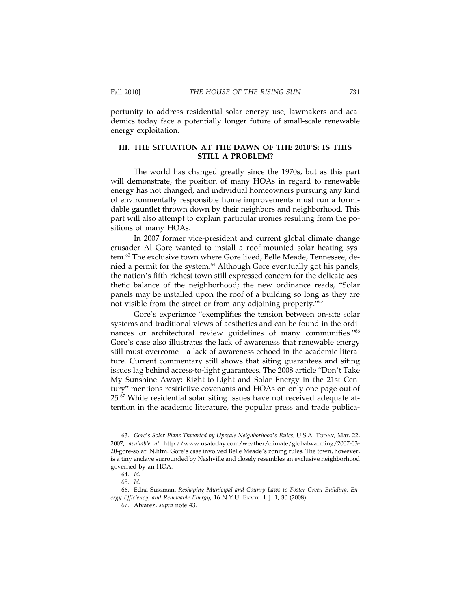portunity to address residential solar energy use, lawmakers and academics today face a potentially longer future of small-scale renewable energy exploitation.

#### **III. THE SITUATION AT THE DAWN OF THE 2010**'**S: IS THIS STILL A PROBLEM?**

The world has changed greatly since the 1970s, but as this part will demonstrate, the position of many HOAs in regard to renewable energy has not changed, and individual homeowners pursuing any kind of environmentally responsible home improvements must run a formidable gauntlet thrown down by their neighbors and neighborhood. This part will also attempt to explain particular ironies resulting from the positions of many HOAs.

In 2007 former vice-president and current global climate change crusader Al Gore wanted to install a roof-mounted solar heating system.<sup>63</sup> The exclusive town where Gore lived, Belle Meade, Tennessee, denied a permit for the system.<sup>64</sup> Although Gore eventually got his panels, the nation's fifth-richest town still expressed concern for the delicate aesthetic balance of the neighborhood; the new ordinance reads, "Solar panels may be installed upon the roof of a building so long as they are not visible from the street or from any adjoining property."<sup>65</sup>

Gore's experience "exemplifies the tension between on-site solar systems and traditional views of aesthetics and can be found in the ordinances or architectural review guidelines of many communities."66 Gore's case also illustrates the lack of awareness that renewable energy still must overcome—a lack of awareness echoed in the academic literature. Current commentary still shows that siting guarantees and siting issues lag behind access-to-light guarantees. The 2008 article "Don't Take My Sunshine Away: Right-to-Light and Solar Energy in the 21st Century" mentions restrictive covenants and HOAs on only one page out of  $25.67$  While residential solar siting issues have not received adequate attention in the academic literature, the popular press and trade publica-

<sup>63.</sup> *Gore*'*s Solar Plans Thwarted by Upscale Neighborhood*'*s Rules*, U.S.A. TODAY, Mar. 22, 2007, *available at* http://www.usatoday.com/weather/climate/globalwarming/2007-03- 20-gore-solar\_N.htm. Gore's case involved Belle Meade's zoning rules. The town, however, is a tiny enclave surrounded by Nashville and closely resembles an exclusive neighborhood governed by an HOA.

<sup>64.</sup> *Id.*

<sup>65.</sup> *Id.*

<sup>66.</sup> Edna Sussman, *Reshaping Municipal and County Laws to Foster Green Building, Energy Efficiency, and Renewable Energy*, 16 N.Y.U. ENVTL. L.J. 1, 30 (2008).

<sup>67.</sup> Alvarez, *supra* note 43.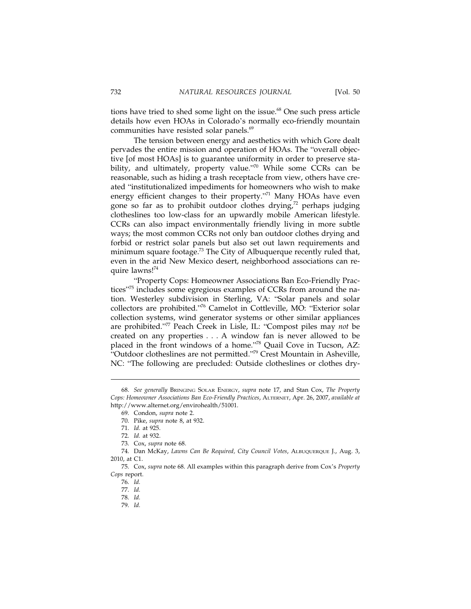tions have tried to shed some light on the issue. $68$  One such press article details how even HOAs in Colorado's normally eco-friendly mountain communities have resisted solar panels.<sup>69</sup>

The tension between energy and aesthetics with which Gore dealt pervades the entire mission and operation of HOAs. The "overall objective [of most HOAs] is to guarantee uniformity in order to preserve stability, and ultimately, property value."70 While some CCRs can be reasonable, such as hiding a trash receptacle from view, others have created "institutionalized impediments for homeowners who wish to make energy efficient changes to their property."<sup>71</sup> Many HOAs have even gone so far as to prohibit outdoor clothes drying, $72$  perhaps judging clotheslines too low-class for an upwardly mobile American lifestyle. CCRs can also impact environmentally friendly living in more subtle ways; the most common CCRs not only ban outdoor clothes drying and forbid or restrict solar panels but also set out lawn requirements and minimum square footage.<sup>73</sup> The City of Albuquerque recently ruled that, even in the arid New Mexico desert, neighborhood associations can require lawns!74

"Property Cops: Homeowner Associations Ban Eco-Friendly Practices"<sup>75</sup> includes some egregious examples of CCRs from around the nation. Westerley subdivision in Sterling, VA: "Solar panels and solar collectors are prohibited."76 Camelot in Cottleville, MO: "Exterior solar collection systems, wind generator systems or other similar appliances are prohibited."77 Peach Creek in Lisle, IL: "Compost piles may *not* be created on any properties . . . A window fan is never allowed to be placed in the front windows of a home.<sup>778</sup> Quail Cove in Tucson, AZ: "Outdoor clotheslines are not permitted." $79$  Crest Mountain in Asheville, NC: "The following are precluded: Outside clotheslines or clothes dry-

<sup>68.</sup> *See generally* BRINGING SOLAR ENERGY, *supra* note 17, and Stan Cox, *The Property Cops: Homeowner Associations Ban Eco-Friendly Practices*, ALTERNET, Apr. 26, 2007, *available at* http://www.alternet.org/envirohealth/51001.

<sup>69.</sup> Condon, *supra* note 2.

<sup>70.</sup> Pike, *supra* note 8, at 932.

<sup>71.</sup> *Id.* at 925.

<sup>72.</sup> *Id.* at 932.

<sup>73.</sup> Cox, *supra* note 68.

<sup>74.</sup> Dan McKay, *Lawns Can Be Required, City Council Votes*, ALBUQUERQUE J., Aug. 3, 2010, at C1.

<sup>75.</sup> Cox, *supra* note 68. All examples within this paragraph derive from Cox's *Property Cops* report.

<sup>76.</sup> *Id.*

<sup>77.</sup> *Id.*

<sup>78.</sup> *Id.*

<sup>79.</sup> *Id.*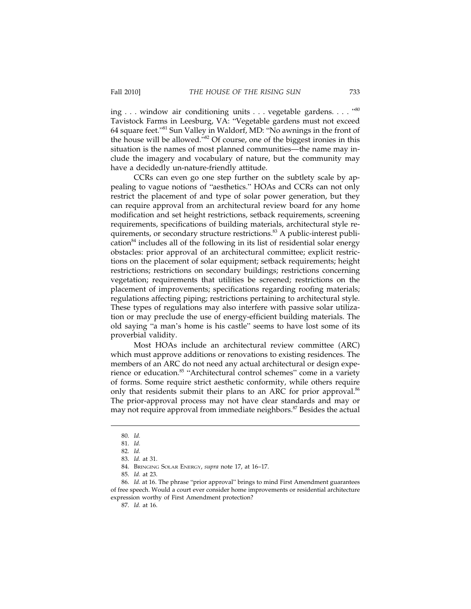ing . . . window air conditioning units... vegetable gardens.... "<sup>80</sup> Tavistock Farms in Leesburg, VA: "Vegetable gardens must not exceed 64 square feet."81 Sun Valley in Waldorf, MD: "No awnings in the front of the house will be allowed."<sup>82</sup> Of course, one of the biggest ironies in this situation is the names of most planned communities—the name may include the imagery and vocabulary of nature, but the community may have a decidedly un-nature-friendly attitude.

CCRs can even go one step further on the subtlety scale by appealing to vague notions of "aesthetics." HOAs and CCRs can not only restrict the placement of and type of solar power generation, but they can require approval from an architectural review board for any home modification and set height restrictions, setback requirements, screening requirements, specifications of building materials, architectural style requirements, or secondary structure restrictions.<sup>83</sup> A public-interest publication<sup>84</sup> includes all of the following in its list of residential solar energy obstacles: prior approval of an architectural committee; explicit restrictions on the placement of solar equipment; setback requirements; height restrictions; restrictions on secondary buildings; restrictions concerning vegetation; requirements that utilities be screened; restrictions on the placement of improvements; specifications regarding roofing materials; regulations affecting piping; restrictions pertaining to architectural style. These types of regulations may also interfere with passive solar utilization or may preclude the use of energy-efficient building materials. The old saying "a man's home is his castle" seems to have lost some of its proverbial validity.

Most HOAs include an architectural review committee (ARC) which must approve additions or renovations to existing residences. The members of an ARC do not need any actual architectural or design experience or education.<sup>85</sup> "Architectural control schemes" come in a variety of forms. Some require strict aesthetic conformity, while others require only that residents submit their plans to an ARC for prior approval.<sup>86</sup> The prior-approval process may not have clear standards and may or may not require approval from immediate neighbors.<sup>87</sup> Besides the actual

<sup>80.</sup> *Id.*

<sup>81.</sup> *Id.*

<sup>82.</sup> *Id.*

<sup>83.</sup> *Id.* at 31.

<sup>84.</sup> BRINGING SOLAR ENERGY, *supra* note 17, at 16–17.

<sup>85.</sup> *Id.* at 23.

<sup>86.</sup> *Id.* at 16. The phrase "prior approval" brings to mind First Amendment guarantees of free speech. Would a court ever consider home improvements or residential architecture expression worthy of First Amendment protection?

<sup>87.</sup> *Id.* at 16.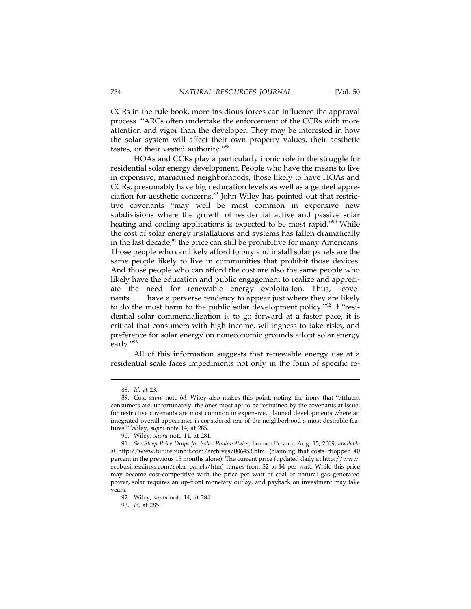CCRs in the rule book, more insidious forces can influence the approval process. "ARCs often undertake the enforcement of the CCRs with more attention and vigor than the developer. They may be interested in how the solar system will affect their own property values, their aesthetic tastes, or their vested authority."88

HOAs and CCRs play a particularly ironic role in the struggle for residential solar energy development. People who have the means to live in expensive, manicured neighborhoods, those likely to have HOAs and CCRs, presumably have high education levels as well as a genteel appreciation for aesthetic concerns.89 John Wiley has pointed out that restrictive covenants "may well be most common in expensive new subdivisions where the growth of residential active and passive solar heating and cooling applications is expected to be most rapid."<sup>90</sup> While the cost of solar energy installations and systems has fallen dramatically in the last decade, $91$  the price can still be prohibitive for many Americans. Those people who can likely afford to buy and install solar panels are the same people likely to live in communities that prohibit those devices. And those people who can afford the cost are also the same people who likely have the education and public engagement to realize and appreciate the need for renewable energy exploitation. Thus, "covenants... have a perverse tendency to appear just where they are likely to do the most harm to the public solar development policy."92 If "residential solar commercialization is to go forward at a faster pace, it is critical that consumers with high income, willingness to take risks, and preference for solar energy on noneconomic grounds adopt solar energy early."<sup>93</sup>

All of this information suggests that renewable energy use at a residential scale faces impediments not only in the form of specific re-

<sup>88.</sup> *Id.* at 23.

<sup>89.</sup> Cox, *supra* note 68. Wiley also makes this point, noting the irony that "affluent consumers are, unfortunately, the ones most apt to be restrained by the covenants at issue, for restrictive covenants are most common in expensive, planned developments where an integrated overall appearance is considered one of the neighborhood's most desirable features." Wiley, *supra* note 14, at 285.

<sup>90.</sup> Wiley, *supra* note 14, at 281.

<sup>91.</sup> *See Steep Price Drops for Solar Photovoltaics*, FUTURE PUNDIT, Aug. 15, 2009, *available at* http://www.futurepundit.com/archives/006453.html (claiming that costs dropped 40 percent in the previous 15 months alone). The current price (updated daily at http://www. ecobusinesslinks.com/solar\_panels/htm) ranges from \$2 to \$4 per watt. While this price may become cost-competitive with the price per watt of coal or natural gas generated power, solar requires an up-front monetary outlay, and payback on investment may take years.

<sup>92.</sup> Wiley, *supra* note 14, at 284.

<sup>93.</sup> *Id.* at 285.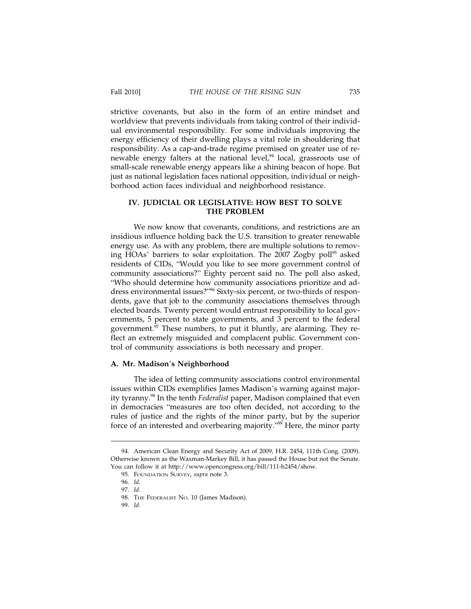strictive covenants, but also in the form of an entire mindset and worldview that prevents individuals from taking control of their individual environmental responsibility. For some individuals improving the energy efficiency of their dwelling plays a vital role in shouldering that responsibility. As a cap-and-trade regime premised on greater use of renewable energy falters at the national level, $94$  local, grassroots use of small-scale renewable energy appears like a shining beacon of hope. But just as national legislation faces national opposition, individual or neighborhood action faces individual and neighborhood resistance.

#### **IV. JUDICIAL OR LEGISLATIVE: HOW BEST TO SOLVE THE PROBLEM**

We now know that covenants, conditions, and restrictions are an insidious influence holding back the U.S. transition to greater renewable energy use. As with any problem, there are multiple solutions to removing HOAs' barriers to solar exploitation. The 2007 Zogby poll<sup>95</sup> asked residents of CIDs, "Would you like to see more government control of community associations?" Eighty percent said no. The poll also asked, "Who should determine how community associations prioritize and address environmental issues?"96 Sixty-six percent, or two-thirds of respondents, gave that job to the community associations themselves through elected boards. Twenty percent would entrust responsibility to local governments, 5 percent to state governments, and 3 percent to the federal government. $97$  These numbers, to put it bluntly, are alarming. They reflect an extremely misguided and complacent public. Government control of community associations is both necessary and proper.

#### **A. Mr. Madison**'**s Neighborhood**

The idea of letting community associations control environmental issues within CIDs exemplifies James Madison's warning against majority tyranny.98 In the tenth *Federalist* paper, Madison complained that even in democracies "measures are too often decided, not according to the rules of justice and the rights of the minor party, but by the superior force of an interested and overbearing majority."<sup>99</sup> Here, the minor party

<sup>94.</sup> American Clean Energy and Security Act of 2009, H.R. 2454, 111th Cong. (2009). Otherwise known as the Waxman-Markey Bill, it has passed the House but not the Senate. You can follow it at http://www.opencongress.org/bill/111-h2454/show.

<sup>95.</sup> FOUNDATION SURVEY, *supra* note 3.

<sup>96.</sup> *Id.*

<sup>97.</sup> *Id*.

<sup>98.</sup> THE FEDERALIST NO. 10 (James Madison).

<sup>99.</sup> *Id.*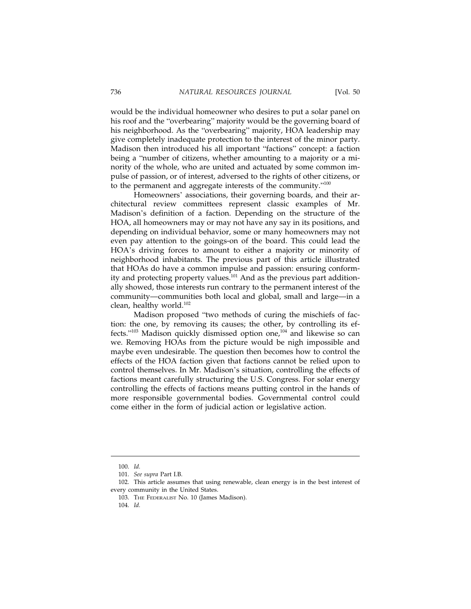would be the individual homeowner who desires to put a solar panel on his roof and the "overbearing" majority would be the governing board of his neighborhood. As the "overbearing" majority, HOA leadership may give completely inadequate protection to the interest of the minor party. Madison then introduced his all important "factions" concept: a faction being a "number of citizens, whether amounting to a majority or a minority of the whole, who are united and actuated by some common impulse of passion, or of interest, adversed to the rights of other citizens, or to the permanent and aggregate interests of the community."100

Homeowners' associations, their governing boards, and their architectural review committees represent classic examples of Mr. Madison's definition of a faction. Depending on the structure of the HOA, all homeowners may or may not have any say in its positions, and depending on individual behavior, some or many homeowners may not even pay attention to the goings-on of the board. This could lead the HOA's driving forces to amount to either a majority or minority of neighborhood inhabitants. The previous part of this article illustrated that HOAs do have a common impulse and passion: ensuring conformity and protecting property values.<sup>101</sup> And as the previous part additionally showed, those interests run contrary to the permanent interest of the community—communities both local and global, small and large—in a clean, healthy world.<sup>102</sup>

Madison proposed "two methods of curing the mischiefs of faction: the one, by removing its causes; the other, by controlling its effects."<sup>103</sup> Madison quickly dismissed option one,<sup>104</sup> and likewise so can we. Removing HOAs from the picture would be nigh impossible and maybe even undesirable. The question then becomes how to control the effects of the HOA faction given that factions cannot be relied upon to control themselves. In Mr. Madison's situation, controlling the effects of factions meant carefully structuring the U.S. Congress. For solar energy controlling the effects of factions means putting control in the hands of more responsible governmental bodies. Governmental control could come either in the form of judicial action or legislative action.

<sup>100.</sup> *Id.*

<sup>101.</sup> *See supra* Part I.B.

<sup>102.</sup> This article assumes that using renewable, clean energy is in the best interest of every community in the United States.

<sup>103.</sup> THE FEDERALIST No. 10 (James Madison).

<sup>104.</sup> *Id.*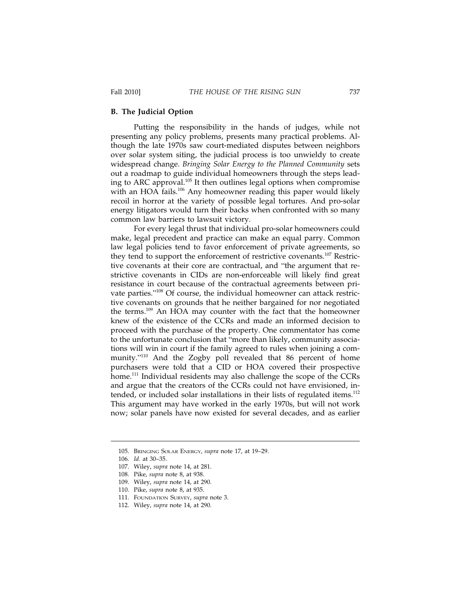#### **B. The Judicial Option**

Putting the responsibility in the hands of judges, while not presenting any policy problems, presents many practical problems. Although the late 1970s saw court-mediated disputes between neighbors over solar system siting, the judicial process is too unwieldy to create widespread change. *Bringing Solar Energy to the Planned Community* sets out a roadmap to guide individual homeowners through the steps leading to ARC approval.105 It then outlines legal options when compromise with an HOA fails.<sup>106</sup> Any homeowner reading this paper would likely recoil in horror at the variety of possible legal tortures. And pro-solar energy litigators would turn their backs when confronted with so many common law barriers to lawsuit victory.

For every legal thrust that individual pro-solar homeowners could make, legal precedent and practice can make an equal parry. Common law legal policies tend to favor enforcement of private agreements, so they tend to support the enforcement of restrictive covenants.<sup>107</sup> Restrictive covenants at their core are contractual, and "the argument that restrictive covenants in CIDs are non-enforceable will likely find great resistance in court because of the contractual agreements between private parties."108 Of course, the individual homeowner can attack restrictive covenants on grounds that he neither bargained for nor negotiated the terms.<sup>109</sup> An HOA may counter with the fact that the homeowner knew of the existence of the CCRs and made an informed decision to proceed with the purchase of the property. One commentator has come to the unfortunate conclusion that "more than likely, community associations will win in court if the family agreed to rules when joining a community."110 And the Zogby poll revealed that 86 percent of home purchasers were told that a CID or HOA covered their prospective home.<sup>111</sup> Individual residents may also challenge the scope of the CCRs and argue that the creators of the CCRs could not have envisioned, intended, or included solar installations in their lists of regulated items.<sup>112</sup> This argument may have worked in the early 1970s, but will not work now; solar panels have now existed for several decades, and as earlier

<sup>105.</sup> BRINGING SOLAR ENERGY, *supra* note 17, at 19–29.

<sup>106.</sup> *Id.* at 30–35.

<sup>107.</sup> Wiley, *supra* note 14, at 281.

<sup>108.</sup> Pike, *supra* note 8, at 938.

<sup>109.</sup> Wiley, *supra* note 14, at 290.

<sup>110.</sup> Pike, *supra* note 8, at 935.

<sup>111.</sup> FOUNDATION SURVEY, *supra* note 3.

<sup>112.</sup> Wiley, *supra* note 14, at 290.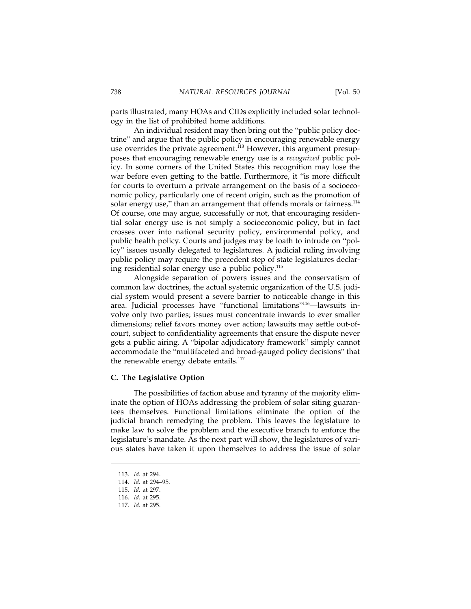parts illustrated, many HOAs and CIDs explicitly included solar technology in the list of prohibited home additions.

An individual resident may then bring out the "public policy doctrine" and argue that the public policy in encouraging renewable energy use overrides the private agreement.<sup>113</sup> However, this argument presupposes that encouraging renewable energy use is a *recognized* public policy. In some corners of the United States this recognition may lose the war before even getting to the battle. Furthermore, it "is more difficult for courts to overturn a private arrangement on the basis of a socioeconomic policy, particularly one of recent origin, such as the promotion of solar energy use," than an arrangement that offends morals or fairness.<sup>114</sup> Of course, one may argue, successfully or not, that encouraging residential solar energy use is not simply a socioeconomic policy, but in fact crosses over into national security policy, environmental policy, and public health policy. Courts and judges may be loath to intrude on "policy" issues usually delegated to legislatures. A judicial ruling involving public policy may require the precedent step of state legislatures declaring residential solar energy use a public policy.<sup>115</sup>

Alongside separation of powers issues and the conservatism of common law doctrines, the actual systemic organization of the U.S. judicial system would present a severe barrier to noticeable change in this area. Judicial processes have "functional limitations"116—lawsuits involve only two parties; issues must concentrate inwards to ever smaller dimensions; relief favors money over action; lawsuits may settle out-ofcourt, subject to confidentiality agreements that ensure the dispute never gets a public airing. A "bipolar adjudicatory framework" simply cannot accommodate the "multifaceted and broad-gauged policy decisions" that the renewable energy debate entails. $117$ 

#### **C. The Legislative Option**

The possibilities of faction abuse and tyranny of the majority eliminate the option of HOAs addressing the problem of solar siting guarantees themselves. Functional limitations eliminate the option of the judicial branch remedying the problem. This leaves the legislature to make law to solve the problem and the executive branch to enforce the legislature's mandate. As the next part will show, the legislatures of various states have taken it upon themselves to address the issue of solar

<sup>113.</sup> *Id.* at 294.

<sup>114.</sup> *Id.* at 294–95.

<sup>115.</sup> *Id.* at 297.

<sup>116.</sup> *Id.* at 295.

<sup>117.</sup> *Id.* at 295.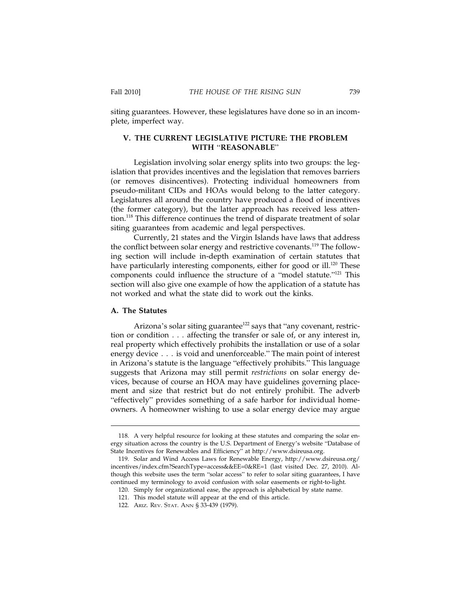siting guarantees. However, these legislatures have done so in an incomplete, imperfect way.

#### **V. THE CURRENT LEGISLATIVE PICTURE: THE PROBLEM WITH** "**REASONABLE**"

Legislation involving solar energy splits into two groups: the legislation that provides incentives and the legislation that removes barriers (or removes disincentives). Protecting individual homeowners from pseudo-militant CIDs and HOAs would belong to the latter category. Legislatures all around the country have produced a flood of incentives (the former category), but the latter approach has received less attention.<sup>118</sup> This difference continues the trend of disparate treatment of solar siting guarantees from academic and legal perspectives.

Currently, 21 states and the Virgin Islands have laws that address the conflict between solar energy and restrictive covenants.<sup>119</sup> The following section will include in-depth examination of certain statutes that have particularly interesting components, either for good or ill.<sup>120</sup> These components could influence the structure of a "model statute."121 This section will also give one example of how the application of a statute has not worked and what the state did to work out the kinks.

#### **A. The Statutes**

Arizona's solar siting guarantee<sup>122</sup> says that "any covenant, restriction or condition... affecting the transfer or sale of, or any interest in, real property which effectively prohibits the installation or use of a solar energy device . . . is void and unenforceable." The main point of interest in Arizona's statute is the language "effectively prohibits." This language suggests that Arizona may still permit *restrictions* on solar energy devices, because of course an HOA may have guidelines governing placement and size that restrict but do not entirely prohibit. The adverb "effectively" provides something of a safe harbor for individual homeowners. A homeowner wishing to use a solar energy device may argue

<sup>118.</sup> A very helpful resource for looking at these statutes and comparing the solar energy situation across the country is the U.S. Department of Energy's website "Database of State Incentives for Renewables and Efficiency" at http://www.dsireusa.org.

<sup>119.</sup> Solar and Wind Access Laws for Renewable Energy, http://www.dsireusa.org/ incentives/index.cfm?SearchType=access&&EE=0&RE=1 (last visited Dec. 27, 2010). Although this website uses the term "solar access" to refer to solar siting guarantees, I have continued my terminology to avoid confusion with solar easements or right-to-light.

<sup>120.</sup> Simply for organizational ease, the approach is alphabetical by state name.

<sup>121.</sup> This model statute will appear at the end of this article.

<sup>122.</sup> ARIZ. REV. STAT. ANN § 33-439 (1979).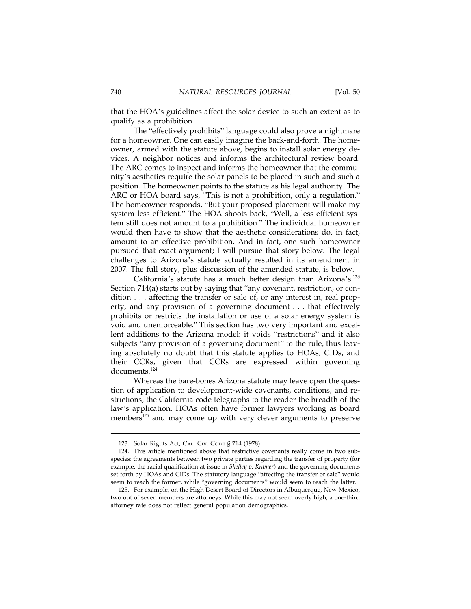that the HOA's guidelines affect the solar device to such an extent as to qualify as a prohibition.

The "effectively prohibits" language could also prove a nightmare for a homeowner. One can easily imagine the back-and-forth. The homeowner, armed with the statute above, begins to install solar energy devices. A neighbor notices and informs the architectural review board. The ARC comes to inspect and informs the homeowner that the community's aesthetics require the solar panels to be placed in such-and-such a position. The homeowner points to the statute as his legal authority. The ARC or HOA board says, "This is not a prohibition, only a regulation." The homeowner responds, "But your proposed placement will make my system less efficient." The HOA shoots back, "Well, a less efficient system still does not amount to a prohibition." The individual homeowner would then have to show that the aesthetic considerations do, in fact, amount to an effective prohibition. And in fact, one such homeowner pursued that exact argument; I will pursue that story below. The legal challenges to Arizona's statute actually resulted in its amendment in 2007. The full story, plus discussion of the amended statute, is below.

California's statute has a much better design than Arizona's.<sup>123</sup> Section 714(a) starts out by saying that "any covenant, restriction, or condition... affecting the transfer or sale of, or any interest in, real property, and any provision of a governing document... that effectively prohibits or restricts the installation or use of a solar energy system is void and unenforceable." This section has two very important and excellent additions to the Arizona model: it voids "restrictions" and it also subjects "any provision of a governing document" to the rule, thus leaving absolutely no doubt that this statute applies to HOAs, CIDs, and their CCRs, given that CCRs are expressed within governing documents.<sup>124</sup>

Whereas the bare-bones Arizona statute may leave open the question of application to development-wide covenants, conditions, and restrictions, the California code telegraphs to the reader the breadth of the law's application. HOAs often have former lawyers working as board members<sup>125</sup> and may come up with very clever arguments to preserve

<sup>123.</sup> Solar Rights Act, CAL. CIV. CODE § 714 (1978).

<sup>124.</sup> This article mentioned above that restrictive covenants really come in two subspecies: the agreements between two private parties regarding the transfer of property (for example, the racial qualification at issue in *Shelley v. Kramer*) and the governing documents set forth by HOAs and CIDs. The statutory language "affecting the transfer or sale" would seem to reach the former, while "governing documents" would seem to reach the latter.

<sup>125.</sup> For example, on the High Desert Board of Directors in Albuquerque, New Mexico, two out of seven members are attorneys. While this may not seem overly high, a one-third attorney rate does not reflect general population demographics.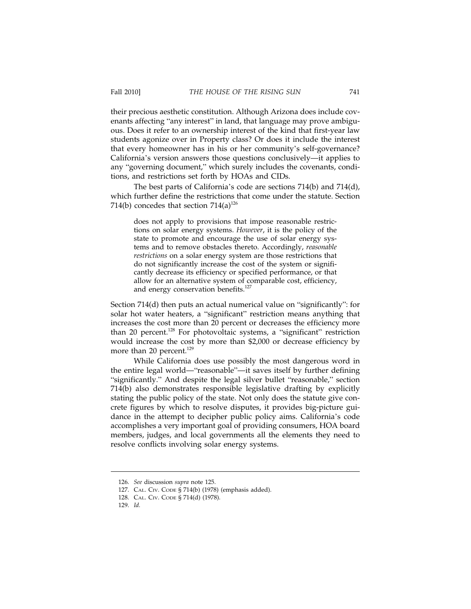their precious aesthetic constitution. Although Arizona does include covenants affecting "any interest" in land, that language may prove ambiguous. Does it refer to an ownership interest of the kind that first-year law students agonize over in Property class? Or does it include the interest that every homeowner has in his or her community's self-governance? California's version answers those questions conclusively—it applies to any "governing document," which surely includes the covenants, conditions, and restrictions set forth by HOAs and CIDs.

The best parts of California's code are sections 714(b) and 714(d), which further define the restrictions that come under the statute. Section 714(b) concedes that section  $714(a)^{126}$ 

does not apply to provisions that impose reasonable restrictions on solar energy systems. *However*, it is the policy of the state to promote and encourage the use of solar energy systems and to remove obstacles thereto. Accordingly, *reasonable restrictions* on a solar energy system are those restrictions that do not significantly increase the cost of the system or significantly decrease its efficiency or specified performance, or that allow for an alternative system of comparable cost, efficiency, and energy conservation benefits.<sup>127</sup>

Section 714(d) then puts an actual numerical value on "significantly": for solar hot water heaters, a "significant" restriction means anything that increases the cost more than 20 percent or decreases the efficiency more than 20 percent.<sup>128</sup> For photovoltaic systems, a "significant" restriction would increase the cost by more than \$2,000 or decrease efficiency by more than 20 percent.<sup>129</sup>

While California does use possibly the most dangerous word in the entire legal world—"reasonable"—it saves itself by further defining "significantly." And despite the legal silver bullet "reasonable," section 714(b) also demonstrates responsible legislative drafting by explicitly stating the public policy of the state. Not only does the statute give concrete figures by which to resolve disputes, it provides big-picture guidance in the attempt to decipher public policy aims. California's code accomplishes a very important goal of providing consumers, HOA board members, judges, and local governments all the elements they need to resolve conflicts involving solar energy systems.

<sup>126.</sup> *See* discussion *supra* note 125.

<sup>127.</sup> CAL. CIV. CODE § 714(b) (1978) (emphasis added).

<sup>128.</sup> CAL. CIV. CODE § 714(d) (1978).

<sup>129.</sup> *Id.*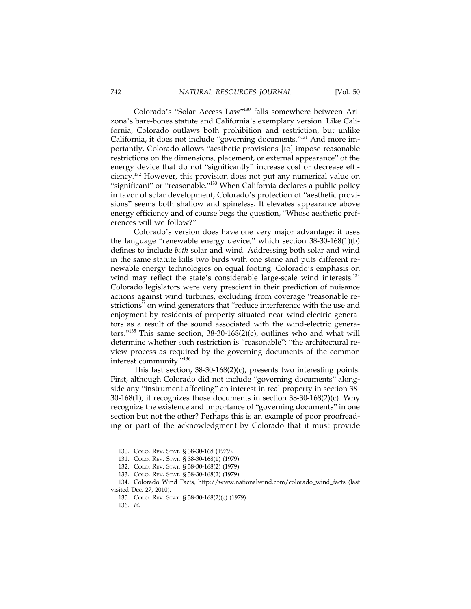Colorado's "Solar Access Law"130 falls somewhere between Arizona's bare-bones statute and California's exemplary version. Like California, Colorado outlaws both prohibition and restriction, but unlike California, it does not include "governing documents."131 And more importantly, Colorado allows "aesthetic provisions [to] impose reasonable restrictions on the dimensions, placement, or external appearance" of the energy device that do not "significantly" increase cost or decrease efficiency.132 However, this provision does not put any numerical value on "significant" or "reasonable."<sup>133</sup> When California declares a public policy in favor of solar development, Colorado's protection of "aesthetic provisions" seems both shallow and spineless. It elevates appearance above energy efficiency and of course begs the question, "Whose aesthetic preferences will we follow?"

Colorado's version does have one very major advantage: it uses the language "renewable energy device," which section 38-30-168(1)(b) defines to include *both* solar and wind. Addressing both solar and wind in the same statute kills two birds with one stone and puts different renewable energy technologies on equal footing. Colorado's emphasis on wind may reflect the state's considerable large-scale wind interests.<sup>134</sup> Colorado legislators were very prescient in their prediction of nuisance actions against wind turbines, excluding from coverage "reasonable restrictions" on wind generators that "reduce interference with the use and enjoyment by residents of property situated near wind-electric generators as a result of the sound associated with the wind-electric generators."<sup>135</sup> This same section,  $38-30-168(2)(c)$ , outlines who and what will determine whether such restriction is "reasonable": "the architectural review process as required by the governing documents of the common interest community."<sup>136</sup>

This last section, 38-30-168(2)(c), presents two interesting points. First, although Colorado did not include "governing documents" alongside any "instrument affecting" an interest in real property in section 38- 30-168(1), it recognizes those documents in section 38-30-168(2)(c). Why recognize the existence and importance of "governing documents" in one section but not the other? Perhaps this is an example of poor proofreading or part of the acknowledgment by Colorado that it must provide

<sup>130.</sup> COLO. REV. STAT. § 38-30-168 (1979).

<sup>131.</sup> COLO. REV. STAT. § 38-30-168(1) (1979).

<sup>132.</sup> COLO. REV. STAT. § 38-30-168(2) (1979).

<sup>133.</sup> COLO. REV. STAT. § 38-30-168(2) (1979).

<sup>134.</sup> Colorado Wind Facts, http://www.nationalwind.com/colorado\_wind\_facts (last visited Dec. 27, 2010).

<sup>135.</sup> COLO. REV. STAT. § 38-30-168(2)(c) (1979).

<sup>136.</sup> *Id.*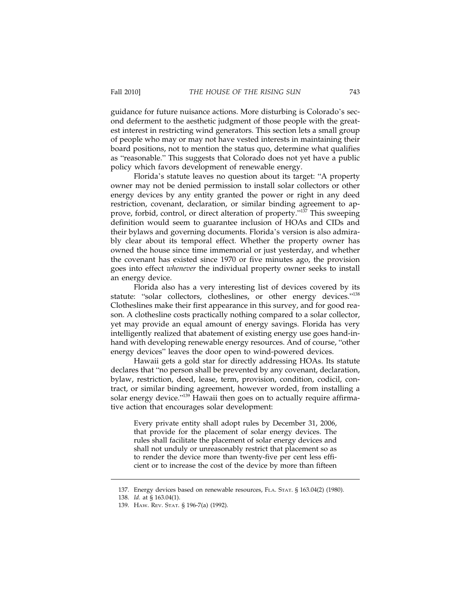guidance for future nuisance actions. More disturbing is Colorado's second deferment to the aesthetic judgment of those people with the greatest interest in restricting wind generators. This section lets a small group of people who may or may not have vested interests in maintaining their board positions, not to mention the status quo, determine what qualifies as "reasonable." This suggests that Colorado does not yet have a public policy which favors development of renewable energy.

Florida's statute leaves no question about its target: "A property owner may not be denied permission to install solar collectors or other energy devices by any entity granted the power or right in any deed restriction, covenant, declaration, or similar binding agreement to approve, forbid, control, or direct alteration of property."<sup>137</sup> This sweeping definition would seem to guarantee inclusion of HOAs and CIDs and their bylaws and governing documents. Florida's version is also admirably clear about its temporal effect. Whether the property owner has owned the house since time immemorial or just yesterday, and whether the covenant has existed since 1970 or five minutes ago, the provision goes into effect *whenever* the individual property owner seeks to install an energy device.

Florida also has a very interesting list of devices covered by its statute: "solar collectors, clotheslines, or other energy devices."<sup>138</sup> Clotheslines make their first appearance in this survey, and for good reason. A clothesline costs practically nothing compared to a solar collector, yet may provide an equal amount of energy savings. Florida has very intelligently realized that abatement of existing energy use goes hand-inhand with developing renewable energy resources. And of course, "other energy devices" leaves the door open to wind-powered devices.

Hawaii gets a gold star for directly addressing HOAs. Its statute declares that "no person shall be prevented by any covenant, declaration, bylaw, restriction, deed, lease, term, provision, condition, codicil, contract, or similar binding agreement, however worded, from installing a solar energy device."<sup>139</sup> Hawaii then goes on to actually require affirmative action that encourages solar development:

Every private entity shall adopt rules by December 31, 2006, that provide for the placement of solar energy devices. The rules shall facilitate the placement of solar energy devices and shall not unduly or unreasonably restrict that placement so as to render the device more than twenty-five per cent less efficient or to increase the cost of the device by more than fifteen

<sup>137.</sup> Energy devices based on renewable resources, FLA. STAT. § 163.04(2) (1980).

<sup>138.</sup> *Id.* at § 163.04(1).

<sup>139.</sup> HAW. REV. STAT. § 196-7(a) (1992).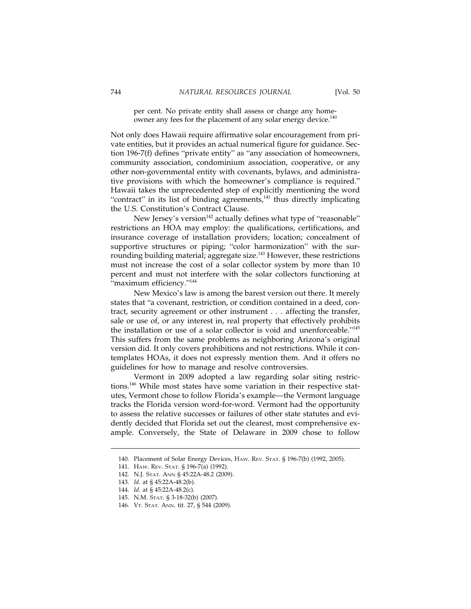per cent. No private entity shall assess or charge any homeowner any fees for the placement of any solar energy device.<sup>140</sup>

Not only does Hawaii require affirmative solar encouragement from private entities, but it provides an actual numerical figure for guidance. Section 196-7(f) defines "private entity" as "any association of homeowners, community association, condominium association, cooperative, or any other non-governmental entity with covenants, bylaws, and administrative provisions with which the homeowner's compliance is required." Hawaii takes the unprecedented step of explicitly mentioning the word "contract" in its list of binding agreements, $141$  thus directly implicating the U.S. Constitution's Contract Clause.

New Jersey's version<sup>142</sup> actually defines what type of "reasonable" restrictions an HOA may employ: the qualifications, certifications, and insurance coverage of installation providers; location; concealment of supportive structures or piping; "color harmonization" with the surrounding building material; aggregate size.<sup>143</sup> However, these restrictions must not increase the cost of a solar collector system by more than 10 percent and must not interfere with the solar collectors functioning at "maximum efficiency."<sup>144</sup>

New Mexico's law is among the barest version out there. It merely states that "a covenant, restriction, or condition contained in a deed, contract, security agreement or other instrument... affecting the transfer, sale or use of, or any interest in, real property that effectively prohibits the installation or use of a solar collector is void and unenforceable."<sup>145</sup> This suffers from the same problems as neighboring Arizona's original version did. It only covers prohibitions and not restrictions. While it contemplates HOAs, it does not expressly mention them. And it offers no guidelines for how to manage and resolve controversies.

Vermont in 2009 adopted a law regarding solar siting restrictions.146 While most states have some variation in their respective statutes, Vermont chose to follow Florida's example—the Vermont language tracks the Florida version word-for-word. Vermont had the opportunity to assess the relative successes or failures of other state statutes and evidently decided that Florida set out the clearest, most comprehensive example. Conversely, the State of Delaware in 2009 chose to follow

<sup>140.</sup> Placement of Solar Energy Devices, HAW. REV. STAT. § 196-7(b) (1992, 2005).

<sup>141.</sup> HAW. REV. STAT. § 196-7(a) (1992).

<sup>142.</sup> N.J. STAT. ANN § 45:22A-48.2 (2009).

<sup>143.</sup> *Id.* at § 45:22A-48.2(b).

<sup>144.</sup> *Id.* at § 45:22A-48.2(c).

<sup>145.</sup> N.M. STAT. § 3-18-32(b) (2007).

<sup>146.</sup> VT. STAT. ANN. tit. 27, § 544 (2009).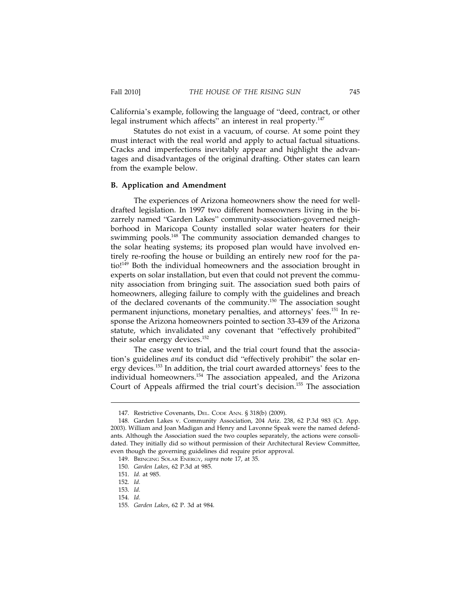California's example, following the language of "deed, contract, or other legal instrument which affects" an interest in real property.<sup>147</sup>

Statutes do not exist in a vacuum, of course. At some point they must interact with the real world and apply to actual factual situations. Cracks and imperfections inevitably appear and highlight the advantages and disadvantages of the original drafting. Other states can learn from the example below.

#### **B. Application and Amendment**

The experiences of Arizona homeowners show the need for welldrafted legislation. In 1997 two different homeowners living in the bizarrely named "Garden Lakes" community-association-governed neighborhood in Maricopa County installed solar water heaters for their swimming pools.<sup>148</sup> The community association demanded changes to the solar heating systems; its proposed plan would have involved entirely re-roofing the house or building an entirely new roof for the patio!<sup>149</sup> Both the individual homeowners and the association brought in experts on solar installation, but even that could not prevent the community association from bringing suit. The association sued both pairs of homeowners, alleging failure to comply with the guidelines and breach of the declared covenants of the community.150 The association sought permanent injunctions, monetary penalties, and attorneys' fees.151 In response the Arizona homeowners pointed to section 33-439 of the Arizona statute, which invalidated any covenant that "effectively prohibited" their solar energy devices.<sup>152</sup>

The case went to trial, and the trial court found that the association's guidelines *and* its conduct did "effectively prohibit" the solar energy devices.<sup>153</sup> In addition, the trial court awarded attorneys' fees to the individual homeowners.<sup>154</sup> The association appealed, and the Arizona Court of Appeals affirmed the trial court's decision.<sup>155</sup> The association

<sup>147.</sup> Restrictive Covenants, DEL. CODE ANN. § 318(b) (2009).

<sup>148.</sup> Garden Lakes v. Community Association, 204 Ariz. 238, 62 P.3d 983 (Ct. App. 2003). William and Joan Madigan and Henry and Lavonne Speak were the named defendants. Although the Association sued the two couples separately, the actions were consolidated. They initially did so without permission of their Architectural Review Committee, even though the governing guidelines did require prior approval.

<sup>149.</sup> BRINGING SOLAR ENERGY, *supra* note 17, at 35.

<sup>150.</sup> *Garden Lakes*, 62 P.3d at 985.

<sup>151.</sup> *Id.* at 985.

<sup>152.</sup> *Id.*

<sup>153.</sup> *Id.*

<sup>154.</sup> *Id.*

<sup>155.</sup> *Garden Lakes*, 62 P. 3d at 984.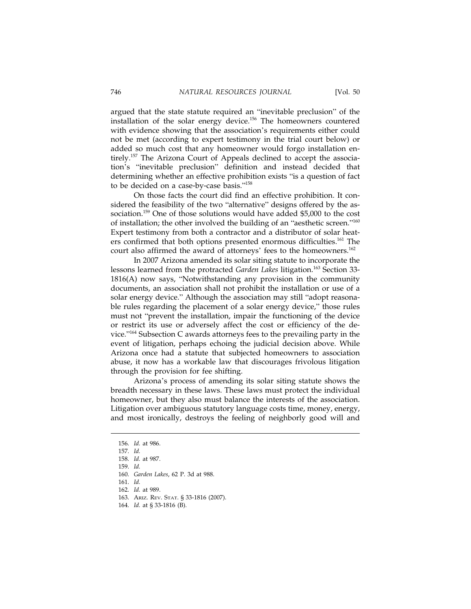argued that the state statute required an "inevitable preclusion" of the installation of the solar energy device.156 The homeowners countered with evidence showing that the association's requirements either could not be met (according to expert testimony in the trial court below) or added so much cost that any homeowner would forgo installation entirely.<sup>157</sup> The Arizona Court of Appeals declined to accept the association's "inevitable preclusion" definition and instead decided that determining whether an effective prohibition exists "is a question of fact to be decided on a case-by-case basis."<sup>158</sup>

On those facts the court did find an effective prohibition. It considered the feasibility of the two "alternative" designs offered by the association.159 One of those solutions would have added \$5,000 to the cost of installation; the other involved the building of an "aesthetic screen."<sup>160</sup> Expert testimony from both a contractor and a distributor of solar heaters confirmed that both options presented enormous difficulties.<sup>161</sup> The court also affirmed the award of attorneys' fees to the homeowners.<sup>162</sup>

In 2007 Arizona amended its solar siting statute to incorporate the lessons learned from the protracted *Garden Lakes* litigation.<sup>163</sup> Section 33-1816(A) now says, "Notwithstanding any provision in the community documents, an association shall not prohibit the installation or use of a solar energy device." Although the association may still "adopt reasonable rules regarding the placement of a solar energy device," those rules must not "prevent the installation, impair the functioning of the device or restrict its use or adversely affect the cost or efficiency of the device."164 Subsection C awards attorneys fees to the prevailing party in the event of litigation, perhaps echoing the judicial decision above. While Arizona once had a statute that subjected homeowners to association abuse, it now has a workable law that discourages frivolous litigation through the provision for fee shifting.

Arizona's process of amending its solar siting statute shows the breadth necessary in these laws. These laws must protect the individual homeowner, but they also must balance the interests of the association. Litigation over ambiguous statutory language costs time, money, energy, and most ironically, destroys the feeling of neighborly good will and

<sup>156.</sup> *Id.* at 986.

<sup>157.</sup> *Id.*

<sup>158.</sup> *Id.* at 987.

<sup>159.</sup> *Id.*

<sup>160.</sup> *Garden Lakes*, 62 P. 3d at 988.

<sup>161.</sup> *Id.*

<sup>162.</sup> *Id.* at 989.

<sup>163.</sup> ARIZ. REV. STAT. § 33-1816 (2007).

<sup>164.</sup> *Id.* at § 33-1816 (B).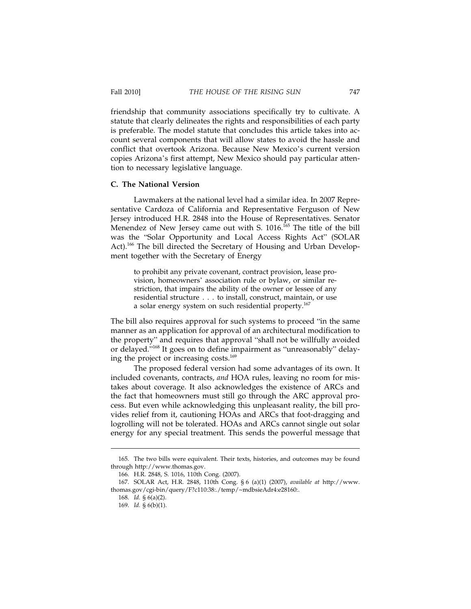friendship that community associations specifically try to cultivate. A statute that clearly delineates the rights and responsibilities of each party is preferable. The model statute that concludes this article takes into account several components that will allow states to avoid the hassle and conflict that overtook Arizona. Because New Mexico's current version copies Arizona's first attempt, New Mexico should pay particular attention to necessary legislative language.

#### **C. The National Version**

Lawmakers at the national level had a similar idea. In 2007 Representative Cardoza of California and Representative Ferguson of New Jersey introduced H.R. 2848 into the House of Representatives. Senator Menendez of New Jersey came out with S.  $1016$ .<sup>165</sup> The title of the bill was the "Solar Opportunity and Local Access Rights Act" (SOLAR Act).<sup>166</sup> The bill directed the Secretary of Housing and Urban Development together with the Secretary of Energy

to prohibit any private covenant, contract provision, lease provision, homeowners' association rule or bylaw, or similar restriction, that impairs the ability of the owner or lessee of any residential structure . . . to install, construct, maintain, or use a solar energy system on such residential property.<sup>167</sup>

The bill also requires approval for such systems to proceed "in the same manner as an application for approval of an architectural modification to the property" and requires that approval "shall not be willfully avoided or delayed."168 It goes on to define impairment as "unreasonably" delaying the project or increasing costs.<sup>169</sup>

The proposed federal version had some advantages of its own. It included covenants, contracts, *and* HOA rules, leaving no room for mistakes about coverage. It also acknowledges the existence of ARCs and the fact that homeowners must still go through the ARC approval process. But even while acknowledging this unpleasant reality, the bill provides relief from it, cautioning HOAs and ARCs that foot-dragging and logrolling will not be tolerated. HOAs and ARCs cannot single out solar energy for any special treatment. This sends the powerful message that

<sup>165.</sup> The two bills were equivalent. Their texts, histories, and outcomes may be found through http://www.thomas.gov.

<sup>166.</sup> H.R. 2848, S. 1016, 110th Cong. (2007).

<sup>167.</sup> SOLAR Act, H.R. 2848, 110th Cong. § 6 (a)(1) (2007), *available at* http://www. thomas.gov/cgi-bin/query/F?c110:38:./temp/~mdbsieAdr4:e28160:.

<sup>168.</sup> *Id.* § 6(a)(2).

<sup>169.</sup> *Id.* § 6(b)(1).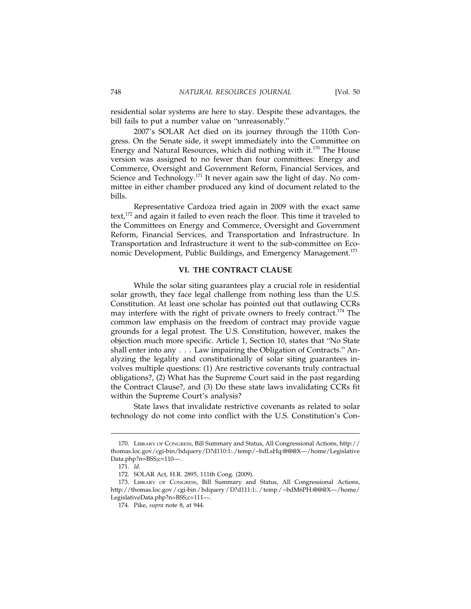residential solar systems are here to stay. Despite these advantages, the bill fails to put a number value on "unreasonably."

2007's SOLAR Act died on its journey through the 110th Congress. On the Senate side, it swept immediately into the Committee on Energy and Natural Resources, which did nothing with it.<sup>170</sup> The House version was assigned to no fewer than four committees: Energy and Commerce, Oversight and Government Reform, Financial Services, and Science and Technology.<sup>171</sup> It never again saw the light of day. No committee in either chamber produced any kind of document related to the bills.

Representative Cardoza tried again in 2009 with the exact same text,<sup>172</sup> and again it failed to even reach the floor. This time it traveled to the Committees on Energy and Commerce, Oversight and Government Reform, Financial Services, and Transportation and Infrastructure. In Transportation and Infrastructure it went to the sub-committee on Economic Development, Public Buildings, and Emergency Management.<sup>173</sup>

#### **VI. THE CONTRACT CLAUSE**

While the solar siting guarantees play a crucial role in residential solar growth, they face legal challenge from nothing less than the U.S. Constitution. At least one scholar has pointed out that outlawing CCRs may interfere with the right of private owners to freely contract.<sup>174</sup> The common law emphasis on the freedom of contract may provide vague grounds for a legal protest. The U.S. Constitution, however, makes the objection much more specific. Article 1, Section 10, states that "No State shall enter into any... Law impairing the Obligation of Contracts." Analyzing the legality and constitutionally of solar siting guarantees involves multiple questions: (1) Are restrictive covenants truly contractual obligations?, (2) What has the Supreme Court said in the past regarding the Contract Clause?, and (3) Do these state laws invalidating CCRs fit within the Supreme Court's analysis?

State laws that invalidate restrictive covenants as related to solar technology do not come into conflict with the U.S. Constitution's Con-

<sup>170.</sup> LIBRARY OF CONGRESS, Bill Summary and Status, All Congressional Actions, http:// thomas.loc.gov/cgi-bin/bdquery/D?d110:1:./temp/~bdLsHq:@@@X—/home/Legislative Data.php?n=BSS;c=110—.

<sup>171.</sup> *Id.*

<sup>172.</sup> SOLAR Act, H.R. 2895, 111th Cong. (2009).

<sup>173.</sup> LIBRARY OF CONGRESS, Bill Summary and Status, All Congressional Actions, http://thomas.loc.gov / cgi-bin / bdquery / D?d111:1:. / temp / ~bdM6PH:@@@X—/home/ LegislativeData.php?n=BSS;c=111—.

<sup>174.</sup> Pike, *supra* note 8, at 944.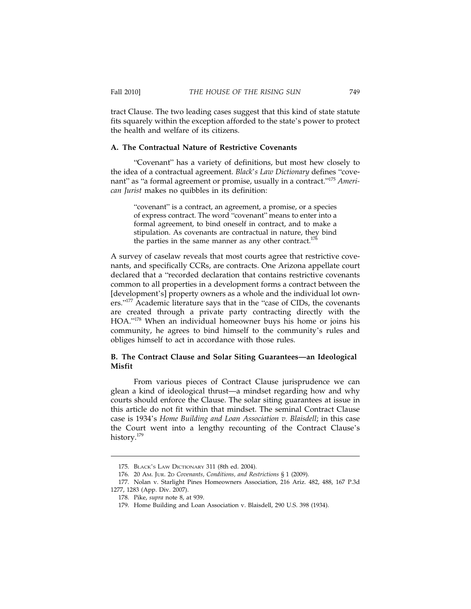tract Clause. The two leading cases suggest that this kind of state statute fits squarely within the exception afforded to the state's power to protect the health and welfare of its citizens.

#### **A. The Contractual Nature of Restrictive Covenants**

"Covenant" has a variety of definitions, but most hew closely to the idea of a contractual agreement. *Black*'*s Law Dictionary* defines "covenant" as "a formal agreement or promise, usually in a contract."<sup>175</sup> *American Jurist* makes no quibbles in its definition:

"covenant" is a contract, an agreement, a promise, or a species of express contract. The word "covenant" means to enter into a formal agreement, to bind oneself in contract, and to make a stipulation. As covenants are contractual in nature, they bind the parties in the same manner as any other contract. $176$ 

A survey of caselaw reveals that most courts agree that restrictive covenants, and specifically CCRs, are contracts. One Arizona appellate court declared that a "recorded declaration that contains restrictive covenants common to all properties in a development forms a contract between the [development's] property owners as a whole and the individual lot owners."<sup>177</sup> Academic literature says that in the "case of CIDs, the covenants are created through a private party contracting directly with the HOA."178 When an individual homeowner buys his home or joins his community, he agrees to bind himself to the community's rules and obliges himself to act in accordance with those rules.

#### **B. The Contract Clause and Solar Siting Guarantees—an Ideological Misfit**

From various pieces of Contract Clause jurisprudence we can glean a kind of ideological thrust—a mindset regarding how and why courts should enforce the Clause. The solar siting guarantees at issue in this article do not fit within that mindset. The seminal Contract Clause case is 1934's *Home Building and Loan Association v. Blaisdell*; in this case the Court went into a lengthy recounting of the Contract Clause's history.<sup>179</sup>

<sup>175.</sup> BLACK'S LAW DICTIONARY 311 (8th ed. 2004).

<sup>176. 20</sup> AM. JUR. 2D *Covenants, Conditions, and Restrictions* § 1 (2009).

<sup>177.</sup> Nolan v. Starlight Pines Homeowners Association, 216 Ariz. 482, 488, 167 P.3d 1277, 1283 (App. Div. 2007).

<sup>178.</sup> Pike, *supra* note 8, at 939.

<sup>179.</sup> Home Building and Loan Association v. Blaisdell, 290 U.S. 398 (1934).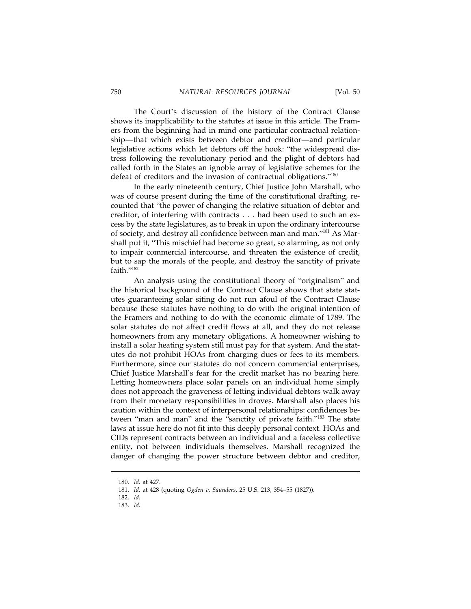The Court's discussion of the history of the Contract Clause shows its inapplicability to the statutes at issue in this article. The Framers from the beginning had in mind one particular contractual relationship—that which exists between debtor and creditor—and particular legislative actions which let debtors off the hook: "the widespread distress following the revolutionary period and the plight of debtors had called forth in the States an ignoble array of legislative schemes for the defeat of creditors and the invasion of contractual obligations."<sup>180</sup>

In the early nineteenth century, Chief Justice John Marshall, who was of course present during the time of the constitutional drafting, recounted that "the power of changing the relative situation of debtor and creditor, of interfering with contracts... had been used to such an excess by the state legislatures, as to break in upon the ordinary intercourse of society, and destroy all confidence between man and man."181 As Marshall put it, "This mischief had become so great, so alarming, as not only to impair commercial intercourse, and threaten the existence of credit, but to sap the morals of the people, and destroy the sanctity of private faith."<sup>182</sup>

An analysis using the constitutional theory of "originalism" and the historical background of the Contract Clause shows that state statutes guaranteeing solar siting do not run afoul of the Contract Clause because these statutes have nothing to do with the original intention of the Framers and nothing to do with the economic climate of 1789. The solar statutes do not affect credit flows at all, and they do not release homeowners from any monetary obligations. A homeowner wishing to install a solar heating system still must pay for that system. And the statutes do not prohibit HOAs from charging dues or fees to its members. Furthermore, since our statutes do not concern commercial enterprises, Chief Justice Marshall's fear for the credit market has no bearing here. Letting homeowners place solar panels on an individual home simply does not approach the graveness of letting individual debtors walk away from their monetary responsibilities in droves. Marshall also places his caution within the context of interpersonal relationships: confidences between "man and man" and the "sanctity of private faith."<sup>183</sup> The state laws at issue here do not fit into this deeply personal context. HOAs and CIDs represent contracts between an individual and a faceless collective entity, not between individuals themselves. Marshall recognized the danger of changing the power structure between debtor and creditor,

<sup>180.</sup> *Id.* at 427.

<sup>181.</sup> *Id.* at 428 (quoting *Ogden v. Saunders*, 25 U.S. 213, 354–55 (1827)).

<sup>182.</sup> *Id.*

<sup>183.</sup> *Id.*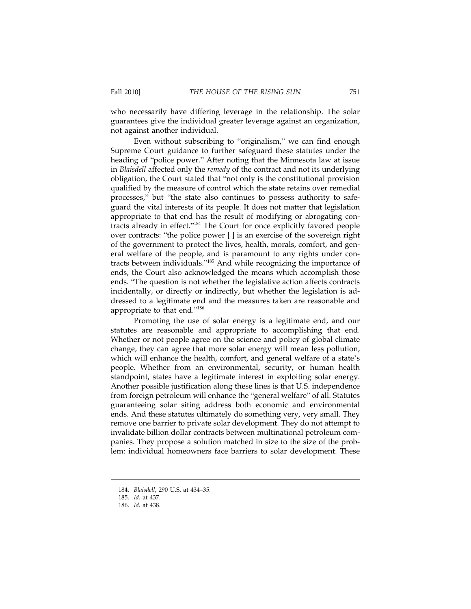who necessarily have differing leverage in the relationship. The solar guarantees give the individual greater leverage against an organization, not against another individual.

Even without subscribing to "originalism," we can find enough Supreme Court guidance to further safeguard these statutes under the heading of "police power." After noting that the Minnesota law at issue in *Blaisdell* affected only the *remedy* of the contract and not its underlying obligation, the Court stated that "not only is the constitutional provision qualified by the measure of control which the state retains over remedial processes," but "the state also continues to possess authority to safeguard the vital interests of its people. It does not matter that legislation appropriate to that end has the result of modifying or abrogating contracts already in effect."184 The Court for once explicitly favored people over contracts: "the police power [ ] is an exercise of the sovereign right of the government to protect the lives, health, morals, comfort, and general welfare of the people, and is paramount to any rights under contracts between individuals."185 And while recognizing the importance of ends, the Court also acknowledged the means which accomplish those ends. "The question is not whether the legislative action affects contracts incidentally, or directly or indirectly, but whether the legislation is addressed to a legitimate end and the measures taken are reasonable and appropriate to that end."<sup>186</sup>

Promoting the use of solar energy is a legitimate end, and our statutes are reasonable and appropriate to accomplishing that end. Whether or not people agree on the science and policy of global climate change, they can agree that more solar energy will mean less pollution, which will enhance the health, comfort, and general welfare of a state's people. Whether from an environmental, security, or human health standpoint, states have a legitimate interest in exploiting solar energy. Another possible justification along these lines is that U.S. independence from foreign petroleum will enhance the "general welfare" of all. Statutes guaranteeing solar siting address both economic and environmental ends. And these statutes ultimately do something very, very small. They remove one barrier to private solar development. They do not attempt to invalidate billion dollar contracts between multinational petroleum companies. They propose a solution matched in size to the size of the problem: individual homeowners face barriers to solar development. These

<sup>184.</sup> *Blaisdell*, 290 U.S. at 434–35.

<sup>185.</sup> *Id.* at 437.

<sup>186.</sup> *Id.* at 438.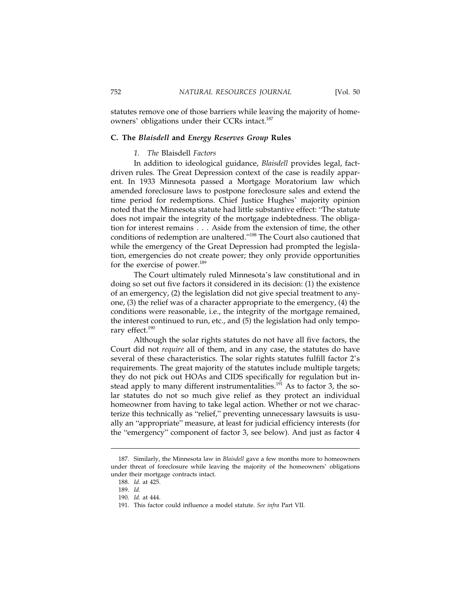statutes remove one of those barriers while leaving the majority of homeowners' obligations under their CCRs intact.<sup>187</sup>

#### **C. The** *Blaisdell* **and** *Energy Reserves Group* **Rules**

#### *1. The* Blaisdell *Factors*

In addition to ideological guidance, *Blaisdell* provides legal, factdriven rules. The Great Depression context of the case is readily apparent. In 1933 Minnesota passed a Mortgage Moratorium law which amended foreclosure laws to postpone foreclosure sales and extend the time period for redemptions. Chief Justice Hughes' majority opinion noted that the Minnesota statute had little substantive effect: "The statute does not impair the integrity of the mortgage indebtedness. The obligation for interest remains... Aside from the extension of time, the other conditions of redemption are unaltered."188 The Court also cautioned that while the emergency of the Great Depression had prompted the legislation, emergencies do not create power; they only provide opportunities for the exercise of power.<sup>189</sup>

The Court ultimately ruled Minnesota's law constitutional and in doing so set out five factors it considered in its decision: (1) the existence of an emergency, (2) the legislation did not give special treatment to anyone, (3) the relief was of a character appropriate to the emergency, (4) the conditions were reasonable, i.e., the integrity of the mortgage remained, the interest continued to run, etc., and (5) the legislation had only temporary effect.<sup>190</sup>

Although the solar rights statutes do not have all five factors, the Court did not *require* all of them, and in any case, the statutes do have several of these characteristics. The solar rights statutes fulfill factor 2's requirements. The great majority of the statutes include multiple targets; they do not pick out HOAs and CIDS specifically for regulation but instead apply to many different instrumentalities.<sup>191</sup> As to factor 3, the solar statutes do not so much give relief as they protect an individual homeowner from having to take legal action. Whether or not we characterize this technically as "relief," preventing unnecessary lawsuits is usually an "appropriate" measure, at least for judicial efficiency interests (for the "emergency" component of factor 3, see below). And just as factor 4

<sup>187.</sup> Similarly, the Minnesota law in *Blaisdell* gave a few months more to homeowners under threat of foreclosure while leaving the majority of the homeowners' obligations under their mortgage contracts intact.

<sup>188.</sup> *Id.* at 425.

<sup>189.</sup> *Id.*

<sup>190.</sup> *Id.* at 444.

<sup>191.</sup> This factor could influence a model statute. *See infra* Part VII.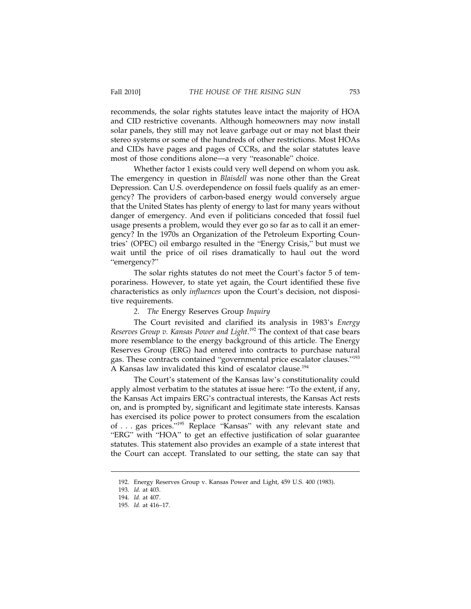recommends, the solar rights statutes leave intact the majority of HOA and CID restrictive covenants. Although homeowners may now install solar panels, they still may not leave garbage out or may not blast their stereo systems or some of the hundreds of other restrictions. Most HOAs and CIDs have pages and pages of CCRs, and the solar statutes leave most of those conditions alone—a very "reasonable" choice.

Whether factor 1 exists could very well depend on whom you ask. The emergency in question in *Blaisdell* was none other than the Great Depression. Can U.S. overdependence on fossil fuels qualify as an emergency? The providers of carbon-based energy would conversely argue that the United States has plenty of energy to last for many years without danger of emergency. And even if politicians conceded that fossil fuel usage presents a problem, would they ever go so far as to call it an emergency? In the 1970s an Organization of the Petroleum Exporting Countries' (OPEC) oil embargo resulted in the "Energy Crisis," but must we wait until the price of oil rises dramatically to haul out the word "emergency?"

The solar rights statutes do not meet the Court's factor 5 of temporariness. However, to state yet again, the Court identified these five characteristics as only *influences* upon the Court's decision, not dispositive requirements.

#### *2. The* Energy Reserves Group *Inquiry*

The Court revisited and clarified its analysis in 1983's *Energy Reserves Group v. Kansas Power and Light*. 192 The context of that case bears more resemblance to the energy background of this article. The Energy Reserves Group (ERG) had entered into contracts to purchase natural gas. These contracts contained "governmental price escalator clauses."<sup>193</sup> A Kansas law invalidated this kind of escalator clause.<sup>194</sup>

The Court's statement of the Kansas law's constitutionality could apply almost verbatim to the statutes at issue here: "To the extent, if any, the Kansas Act impairs ERG's contractual interests, the Kansas Act rests on, and is prompted by, significant and legitimate state interests. Kansas has exercised its police power to protect consumers from the escalation of . . . gas prices."195 Replace "Kansas" with any relevant state and "ERG" with "HOA" to get an effective justification of solar guarantee statutes. This statement also provides an example of a state interest that the Court can accept. Translated to our setting, the state can say that

<sup>192.</sup> Energy Reserves Group v. Kansas Power and Light, 459 U.S. 400 (1983).

<sup>193.</sup> *Id.* at 403.

<sup>194.</sup> *Id.* at 407.

<sup>195.</sup> *Id.* at 416–17.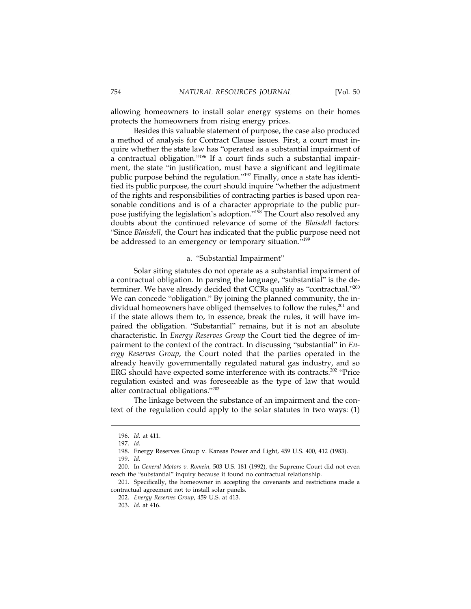allowing homeowners to install solar energy systems on their homes protects the homeowners from rising energy prices.

Besides this valuable statement of purpose, the case also produced a method of analysis for Contract Clause issues. First, a court must inquire whether the state law has "operated as a substantial impairment of a contractual obligation."196 If a court finds such a substantial impairment, the state "in justification, must have a significant and legitimate public purpose behind the regulation."<sup>197</sup> Finally, once a state has identified its public purpose, the court should inquire "whether the adjustment of the rights and responsibilities of contracting parties is based upon reasonable conditions and is of a character appropriate to the public purpose justifying the legislation's adoption."198 The Court also resolved any doubts about the continued relevance of some of the *Blaisdell* factors: "Since *Blaisdell*, the Court has indicated that the public purpose need not be addressed to an emergency or temporary situation."<sup>199</sup>

#### a. "Substantial Impairment"

Solar siting statutes do not operate as a substantial impairment of a contractual obligation. In parsing the language, "substantial" is the determiner. We have already decided that CCRs qualify as "contractual."<sup>200</sup> We can concede "obligation." By joining the planned community, the individual homeowners have obliged themselves to follow the rules, $^{201}$  and if the state allows them to, in essence, break the rules, it will have impaired the obligation. "Substantial" remains, but it is not an absolute characteristic. In *Energy Reserves Group* the Court tied the degree of impairment to the context of the contract. In discussing "substantial" in *Energy Reserves Group*, the Court noted that the parties operated in the already heavily governmentally regulated natural gas industry, and so ERG should have expected some interference with its contracts.<sup>202</sup> "Price regulation existed and was foreseeable as the type of law that would alter contractual obligations."<sup>203</sup>

The linkage between the substance of an impairment and the context of the regulation could apply to the solar statutes in two ways: (1)

<sup>196.</sup> *Id.* at 411.

<sup>197.</sup> *Id.*

<sup>198.</sup> Energy Reserves Group v. Kansas Power and Light, 459 U.S. 400, 412 (1983).

<sup>199.</sup> *Id.*

<sup>200.</sup> In *General Motors v. Romein,* 503 U.S. 181 (1992), the Supreme Court did not even reach the "substantial" inquiry because it found no contractual relationship.

<sup>201.</sup> Specifically, the homeowner in accepting the covenants and restrictions made a contractual agreement not to install solar panels.

<sup>202.</sup> *Energy Reserves Group*, 459 U.S. at 413.

<sup>203.</sup> *Id.* at 416.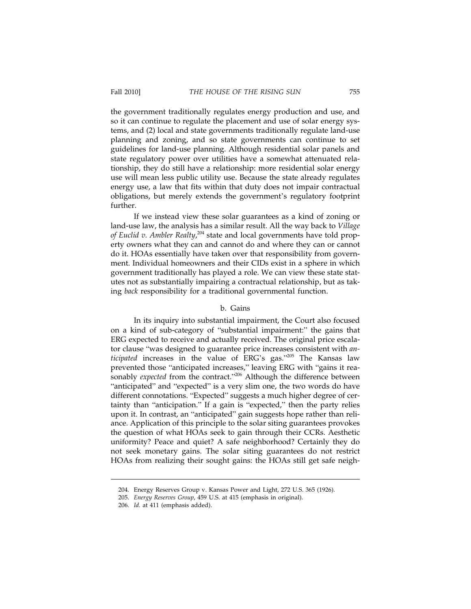the government traditionally regulates energy production and use, and so it can continue to regulate the placement and use of solar energy systems, and (2) local and state governments traditionally regulate land-use planning and zoning, and so state governments can continue to set guidelines for land-use planning. Although residential solar panels and state regulatory power over utilities have a somewhat attenuated relationship, they do still have a relationship: more residential solar energy use will mean less public utility use. Because the state already regulates energy use, a law that fits within that duty does not impair contractual obligations, but merely extends the government's regulatory footprint further.

If we instead view these solar guarantees as a kind of zoning or land-use law, the analysis has a similar result. All the way back to *Village* of Euclid v. Ambler Realty,<sup>204</sup> state and local governments have told property owners what they can and cannot do and where they can or cannot do it. HOAs essentially have taken over that responsibility from government. Individual homeowners and their CIDs exist in a sphere in which government traditionally has played a role. We can view these state statutes not as substantially impairing a contractual relationship, but as taking *back* responsibility for a traditional governmental function.

#### b. Gains

In its inquiry into substantial impairment, the Court also focused on a kind of sub-category of "substantial impairment:" the gains that ERG expected to receive and actually received. The original price escalator clause "was designed to guarantee price increases consistent with *anticipated* increases in the value of ERG's gas."205 The Kansas law prevented those "anticipated increases," leaving ERG with "gains it reasonably *expected* from the contract."<sup>206</sup> Although the difference between "anticipated" and "expected" is a very slim one, the two words do have different connotations. "Expected" suggests a much higher degree of certainty than "anticipation." If a gain is "expected," then the party relies upon it. In contrast, an "anticipated" gain suggests hope rather than reliance. Application of this principle to the solar siting guarantees provokes the question of what HOAs seek to gain through their CCRs. Aesthetic uniformity? Peace and quiet? A safe neighborhood? Certainly they do not seek monetary gains. The solar siting guarantees do not restrict HOAs from realizing their sought gains: the HOAs still get safe neigh-

<sup>204.</sup> Energy Reserves Group v. Kansas Power and Light, 272 U.S. 365 (1926).

<sup>205.</sup> *Energy Reserves Group*, 459 U.S. at 415 (emphasis in original).

<sup>206.</sup> *Id.* at 411 (emphasis added).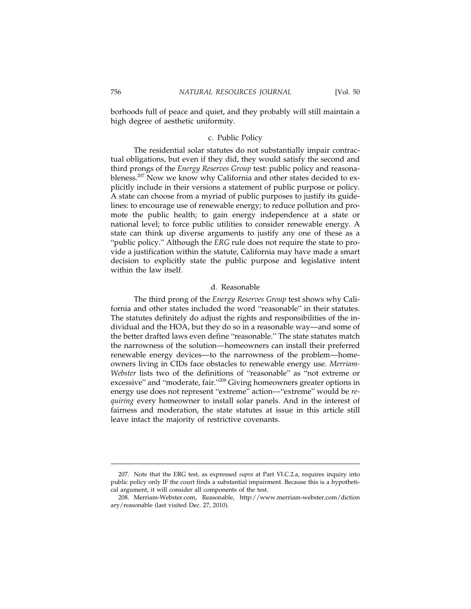borhoods full of peace and quiet, and they probably will still maintain a high degree of aesthetic uniformity.

#### c. Public Policy

The residential solar statutes do not substantially impair contractual obligations, but even if they did, they would satisfy the second and third prongs of the *Energy Reserves Group* test: public policy and reasonableness.<sup>207</sup> Now we know why California and other states decided to explicitly include in their versions a statement of public purpose or policy. A state can choose from a myriad of public purposes to justify its guidelines: to encourage use of renewable energy; to reduce pollution and promote the public health; to gain energy independence at a state or national level; to force public utilities to consider renewable energy. A state can think up diverse arguments to justify any one of these as a "public policy." Although the *ERG* rule does not require the state to provide a justification within the statute, California may have made a smart decision to explicitly state the public purpose and legislative intent within the law itself.

#### d. Reasonable

The third prong of the *Energy Reserves Group* test shows why California and other states included the word "reasonable" in their statutes. The statutes definitely do adjust the rights and responsibilities of the individual and the HOA, but they do so in a reasonable way—and some of the better drafted laws even define "reasonable." The state statutes match the narrowness of the solution—homeowners can install their preferred renewable energy devices—to the narrowness of the problem—homeowners living in CIDs face obstacles to renewable energy use. *Merriam-Webster* lists two of the definitions of "reasonable" as "not extreme or excessive" and "moderate, fair."<sup>208</sup> Giving homeowners greater options in energy use does not represent "extreme" action—"extreme" would be *requiring* every homeowner to install solar panels. And in the interest of fairness and moderation, the state statutes at issue in this article still leave intact the majority of restrictive covenants.

<sup>207.</sup> Note that the ERG test, as expressed *supra* at Part VI.C.2.a, requires inquiry into public policy only IF the court finds a substantial impairment. Because this is a hypothetical argument, it will consider all components of the test.

<sup>208.</sup> Merriam-Webster.com, Reasonable, http://www.merriam-webster.com/diction ary/reasonable (last visited Dec. 27, 2010).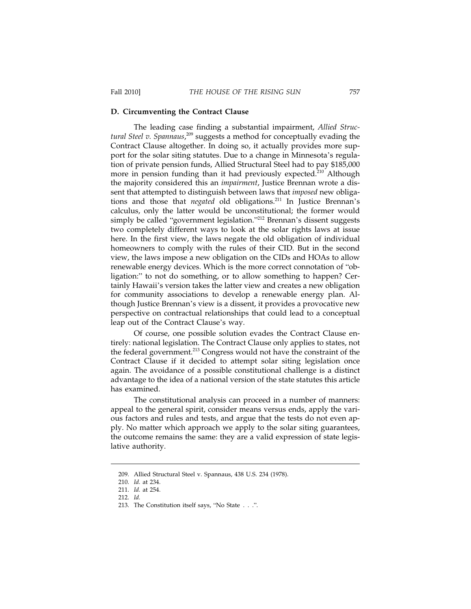#### **D. Circumventing the Contract Clause**

The leading case finding a substantial impairment, *Allied Structural Steel v. Spannaus*, 209 suggests a method for conceptually evading the Contract Clause altogether. In doing so, it actually provides more support for the solar siting statutes. Due to a change in Minnesota's regulation of private pension funds, Allied Structural Steel had to pay \$185,000 more in pension funding than it had previously expected.<sup>210</sup> Although the majority considered this an *impairment*, Justice Brennan wrote a dissent that attempted to distinguish between laws that *imposed* new obligations and those that *negated* old obligations.<sup>211</sup> In Justice Brennan's calculus, only the latter would be unconstitutional; the former would simply be called "government legislation."<sup>212</sup> Brennan's dissent suggests two completely different ways to look at the solar rights laws at issue here. In the first view, the laws negate the old obligation of individual homeowners to comply with the rules of their CID. But in the second view, the laws impose a new obligation on the CIDs and HOAs to allow renewable energy devices. Which is the more correct connotation of "obligation:" to not do something, or to allow something to happen? Certainly Hawaii's version takes the latter view and creates a new obligation for community associations to develop a renewable energy plan. Although Justice Brennan's view is a dissent, it provides a provocative new perspective on contractual relationships that could lead to a conceptual leap out of the Contract Clause's way.

Of course, one possible solution evades the Contract Clause entirely: national legislation. The Contract Clause only applies to states, not the federal government.213 Congress would not have the constraint of the Contract Clause if it decided to attempt solar siting legislation once again. The avoidance of a possible constitutional challenge is a distinct advantage to the idea of a national version of the state statutes this article has examined.

The constitutional analysis can proceed in a number of manners: appeal to the general spirit, consider means versus ends, apply the various factors and rules and tests, and argue that the tests do not even apply. No matter which approach we apply to the solar siting guarantees, the outcome remains the same: they are a valid expression of state legislative authority.

<sup>209.</sup> Allied Structural Steel v. Spannaus, 438 U.S. 234 (1978).

<sup>210.</sup> *Id.* at 234.

<sup>211.</sup> *Id.* at 254.

<sup>212.</sup> *Id.*

<sup>213.</sup> The Constitution itself says, "No State...".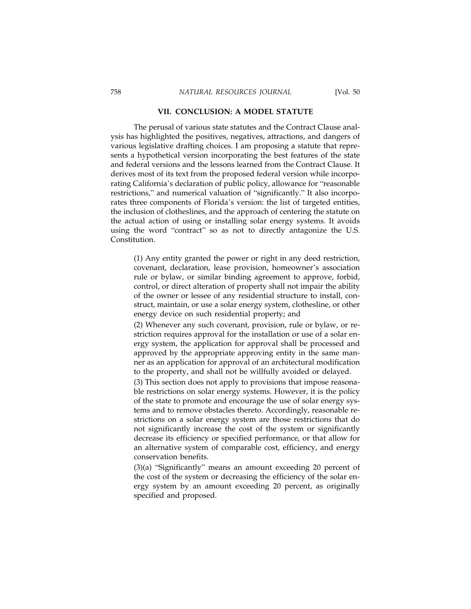#### **VII. CONCLUSION: A MODEL STATUTE**

The perusal of various state statutes and the Contract Clause analysis has highlighted the positives, negatives, attractions, and dangers of various legislative drafting choices. I am proposing a statute that represents a hypothetical version incorporating the best features of the state and federal versions and the lessons learned from the Contract Clause. It derives most of its text from the proposed federal version while incorporating California's declaration of public policy, allowance for "reasonable restrictions," and numerical valuation of "significantly." It also incorporates three components of Florida's version: the list of targeted entities, the inclusion of clotheslines, and the approach of centering the statute on the actual action of using or installing solar energy systems. It avoids using the word "contract" so as not to directly antagonize the U.S. Constitution.

(1) Any entity granted the power or right in any deed restriction, covenant, declaration, lease provision, homeowner's association rule or bylaw, or similar binding agreement to approve, forbid, control, or direct alteration of property shall not impair the ability of the owner or lessee of any residential structure to install, construct, maintain, or use a solar energy system, clothesline, or other energy device on such residential property; and

(2) Whenever any such covenant, provision, rule or bylaw, or restriction requires approval for the installation or use of a solar energy system, the application for approval shall be processed and approved by the appropriate approving entity in the same manner as an application for approval of an architectural modification to the property, and shall not be willfully avoided or delayed.

(3) This section does not apply to provisions that impose reasonable restrictions on solar energy systems. However, it is the policy of the state to promote and encourage the use of solar energy systems and to remove obstacles thereto. Accordingly, reasonable restrictions on a solar energy system are those restrictions that do not significantly increase the cost of the system or significantly decrease its efficiency or specified performance, or that allow for an alternative system of comparable cost, efficiency, and energy conservation benefits.

(3)(a) "Significantly" means an amount exceeding 20 percent of the cost of the system or decreasing the efficiency of the solar energy system by an amount exceeding 20 percent, as originally specified and proposed.